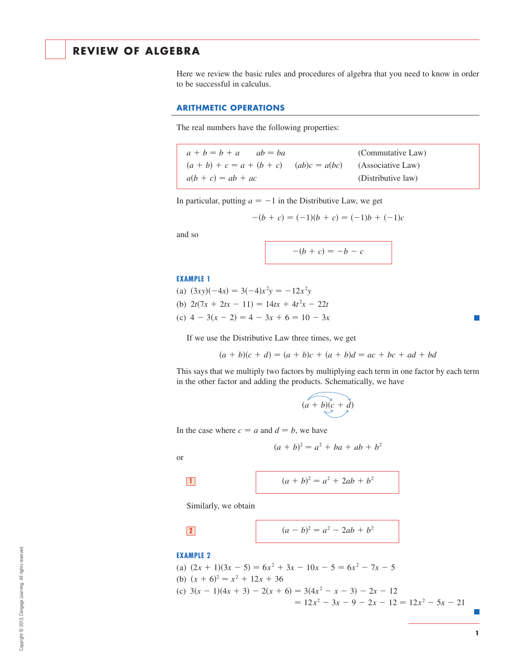# **REVIEW OF ALGEBRA**

Here we review the basic rules and procedures of algebra that you need to know in order to be successful in calculus.

### **ARITHMETIC OPERATIONS**

The real numbers have the following properties:

| $a + b = b + a$ $ab = ba$                                     |  | (Commutative Law)  |
|---------------------------------------------------------------|--|--------------------|
| $(a + b) + c = a + (b + c)$ $(ab)c = a(bc)$ (Associative Law) |  |                    |
| $a(b + c) = ab + ac$                                          |  | (Distributive law) |

In particular, putting  $a = -1$  in the Distributive Law, we get

$$
-(b + c) = (-1)(b + c) = (-1)b + (-1)c
$$

and so

$$
-(b + c) = -b - c
$$

### **EXAMPLE 1**

(a)  $(3xy)(-4x) = 3(-4)x^2y = -12x^2y$ (b)  $2t(7x + 2tx - 11) = 14tx + 4t^2x - 22t$ (c)  $4 - 3(x - 2) = 4 - 3x + 6 = 10 - 3x$ 

If we use the Distributive Law three times, we get

$$
(a + b)(c + d) = (a + b)c + (a + b)d = ac + bc + ad + bd
$$

This says that we multiply two factors by multiplying each term in one factor by each term in the other factor and adding the products. Schematically, we have

$$
(a+b)(c+d)
$$

In the case where  $c = a$  and  $d = b$ , we have

$$
(a + b)^2 = a^2 + ba + ab + b^2
$$

or

$$
\boxed{1}
$$

$$
(a+b)^2 = a^2 + 2ab + b^2
$$

Similarly, we obtain

$$
2\overline{\phantom{a}}
$$

$$
(a - b)^2 = a^2 - 2ab + b^2
$$

### **EXAMPLE 2**

(a)  $(2x + 1)(3x - 5) = 6x^2 + 3x - 10x - 5 = 6x^2 - 7x - 5$ (b)  $(x + 6)^2 = x^2 + 12x + 36$ (c)  $3(x - 1)(4x + 3) - 2(x + 6) = 3(4x^2 - x - 3) - 2x - 12$  $= 12x^2 - 3x - 9 - 2x - 12 = 12x^2 - 5x - 21$ 

Г.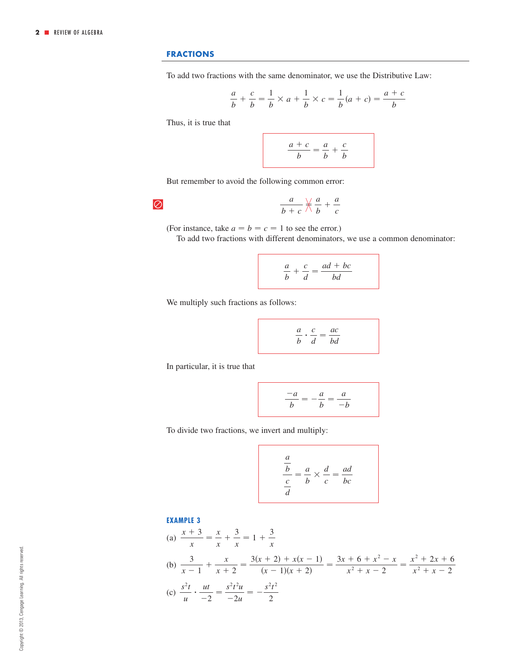## **FRACTIONS**

To add two fractions with the same denominator, we use the Distributive Law:

$$
\frac{a}{b} + \frac{c}{b} = \frac{1}{b} \times a + \frac{1}{b} \times c = \frac{1}{b}(a + c) = \frac{a + c}{b}
$$

Thus, it is true that

 $\overline{\varnothing}$ 

$$
\frac{a+c}{b} = \frac{a}{b} + \frac{c}{b}
$$

But remember to avoid the following common error:

$$
\frac{a}{b+c}\nrightleftharpoons \frac{a}{b}+\frac{a}{c}
$$

(For instance, take  $a = b = c = 1$  to see the error.)

To add two fractions with different denominators, we use a common denominator:

$$
\frac{a}{b} + \frac{c}{d} = \frac{ad + bc}{bd}
$$

We multiply such fractions as follows:

$$
\frac{a}{b} \cdot \frac{c}{d} = \frac{ac}{bd}
$$

In particular, it is true that

$$
\frac{-a}{b} = -\frac{a}{b} = \frac{a}{-b}
$$

To divide two fractions, we invert and multiply:

$$
\frac{\frac{a}{b}}{\frac{c}{d}} = \frac{a}{b} \times \frac{d}{c} = \frac{ad}{bc}
$$

### **EXAMPLE 3**

(a) 
$$
\frac{x+3}{x} = \frac{x}{x} + \frac{3}{x} = 1 + \frac{3}{x}
$$
  
\n(b) 
$$
\frac{3}{x-1} + \frac{x}{x+2} = \frac{3(x+2) + x(x-1)}{(x-1)(x+2)} = \frac{3x+6+x^2-x}{x^2+x-2} = \frac{x^2+2x+6}{x^2+x-2}
$$
  
\n(c) 
$$
\frac{s^2t}{u} \cdot \frac{ut}{-2} = \frac{s^2t^2u}{-2u} = -\frac{s^2t^2}{2}
$$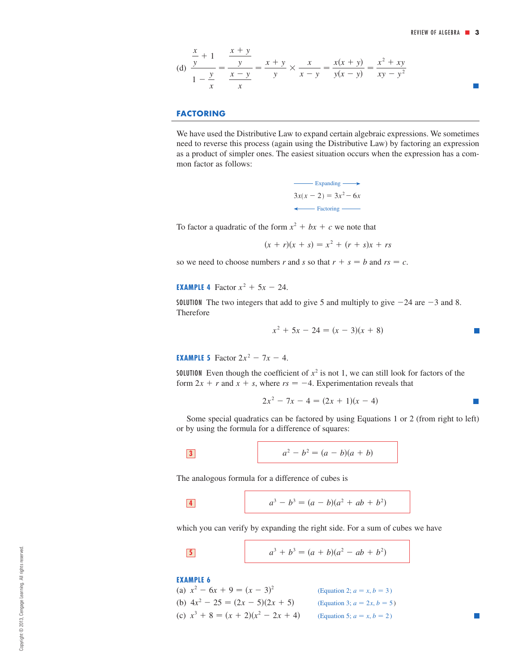(d) 
$$
\frac{\frac{x}{y} + 1}{1 - \frac{y}{x}} = \frac{\frac{x + y}{y}}{\frac{x - y}{x}} = \frac{x + y}{y} \times \frac{x}{x - y} = \frac{x(x + y)}{y(x - y)} = \frac{x^2 + xy}{xy - y^2}
$$

## **FACTORING**

We have used the Distributive Law to expand certain algebraic expressions. We sometimes need to reverse this process (again using the Distributive Law) by factoring an expression as a product of simpler ones. The easiest situation occurs when the expression has a common factor as follows:

> $3x(x-2)=3x^2-6x$ Expanding  $\longrightarrow$ ← Factoring ←

To factor a quadratic of the form  $x^2 + bx + c$  we note that

 $(x + r)(x + s) = x^2 + (r + s)x + rs$ 

so we need to choose numbers r and s so that  $r + s = b$  and  $rs = c$ .

**EXAMPLE 4** Factor  $x^2 + 5x - 24$ .

SOLUTION The two integers that add to give 5 and multiply to give  $-24$  are  $-3$  and 8. Therefore

$$
x^2 + 5x - 24 = (x - 3)(x + 8)
$$

**EXAMPLE 5** Factor  $2x^2 - 7x - 4$ .

**SOLUTION** Even though the coefficient of  $x^2$  is not 1, we can still look for factors of the form  $2x + r$  and  $x + s$ , where  $rs = -4$ . Experimentation reveals that

$$
2x^2 - 7x - 4 = (2x + 1)(x - 4)
$$

 $\overline{\phantom{a}}$ 

Some special quadratics can be factored by using Equations 1 or 2 (from right to left) or by using the formula for a difference of squares:

3 
$$
a^2 - b^2 = (a - b)(a + b)
$$

The analogous formula for a difference of cubes is

$$
\boxed{4} \qquad \qquad a^3 - b^3 = (a - b)(a^2 + ab + b^2)
$$

which you can verify by expanding the right side. For a sum of cubes we have

$$
a^3 + b^3 = (a + b)(a^2 - ab + b^2)
$$

**EXAMPLE 6**

(a) 
$$
x^2 - 6x + 9 = (x - 3)^2
$$
  
\n(b)  $4x^2 - 25 = (2x - 5)(2x + 5)$   
\n(c)  $x^3 + 8 = (x + 2)(x^2 - 2x + 4)$   
\n(gquation 3;  $a = 2x, b = 5$ )  
\n(gquation 5;  $a = x, b = 2$ )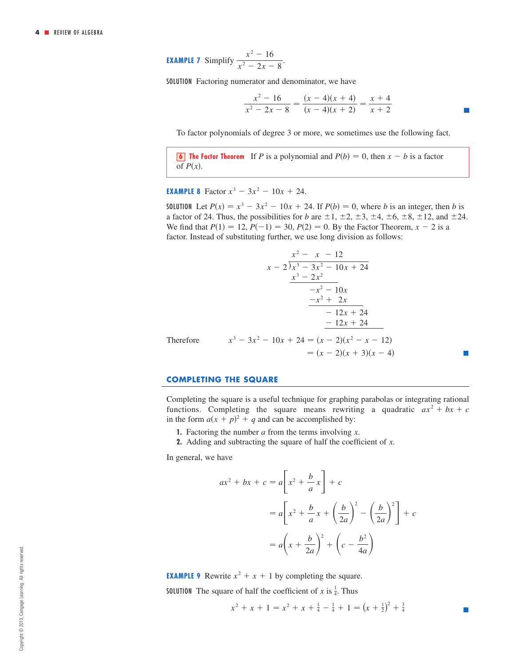**EXAMPLE 7** Simplify 
$$
\frac{x^2 - 16}{x^2 - 2x - 8}.
$$

SOLUTION Factoring numerator and denominator, we have

$$
\frac{x^2 - 16}{x^2 - 2x - 8} = \frac{(x - 4)(x + 4)}{(x - 4)(x + 2)} = \frac{x + 4}{x + 2}
$$

To factor polynomials of degree 3 or more, we sometimes use the following fact.

**6 The Factor Theorem** If P is a polynomial and  $P(b) = 0$ , then  $x - b$  is a factor of  $P(x)$ .

**EXAMPLE 8** Factor  $x^3 - 3x^2 - 10x + 24$ .

**SOLUTION** Let  $P(x) = x^3 - 3x^2 - 10x + 24$ . If  $P(b) = 0$ , where *b* is an integer, then *b* is a factor of 24. Thus, the possibilities for *b* are  $\pm 1$ ,  $\pm 2$ ,  $\pm 3$ ,  $\pm 4$ ,  $\pm 6$ ,  $\pm 8$ ,  $\pm 12$ , and  $\pm 24$ . We find that  $P(1) = 12$ ,  $P(-1) = 30$ ,  $P(2) = 0$ . By the Factor Theorem,  $x - 2$  is a factor. Instead of substituting further, we use long division as follows:

$$
\begin{array}{r}\nx^2 - x - 12 \\
x - 2 \overline{\smash{\big)}\ x^3 - 3x^2 - 10x + 24} \\
\underline{x^3 - 2x^2} \\
-x^2 - 10x \\
\underline{-x^2 + 2x} \\
-12x + 24 \\
\underline{-12x + 24} \\
x^3 - 3x^2 - 10x + 24 = (x - 2)(x^2 - x - 12) \\
\phantom{x^3 - 3x^2 - 10x + 24} = (x - 2)(x^2 - x - 12) \\
\phantom{x^3 - 3x^2 - 10x + 24} = (x - 2)(x + 3)(x - 4)\n\end{array}
$$

#### **COMPLETING THE SQUARE**

Completing the square is a useful technique for graphing parabolas or integrating rational functions. Completing the square means rewriting a quadratic  $ax^2 + bx + c$ in the form  $a(x + p)^2 + q$  and can be accomplished by:

- **1.** Factoring the number  $a$  from the terms involving  $x$ .
- **2.** Adding and subtracting the square of half the coefficient of x.

In general, we have

$$
ax^{2} + bx + c = a\left[x^{2} + \frac{b}{a}x\right] + c
$$
  
=  $a\left[x^{2} + \frac{b}{a}x + \left(\frac{b}{2a}\right)^{2} - \left(\frac{b}{2a}\right)^{2}\right] + c$   
=  $a\left(x + \frac{b}{2a}\right)^{2} + \left(c - \frac{b^{2}}{4a}\right)$ 

**EXAMPLE 9** Rewrite  $x^2 + x + 1$  by completing the square.

**SOLUTION** The square of half the coefficient of x is  $\frac{1}{4}$ . Thus

$$
x^{2} + x + 1 = x^{2} + x + \frac{1}{4} - \frac{1}{4} + 1 = (x + \frac{1}{2})^{2} + \frac{3}{4}
$$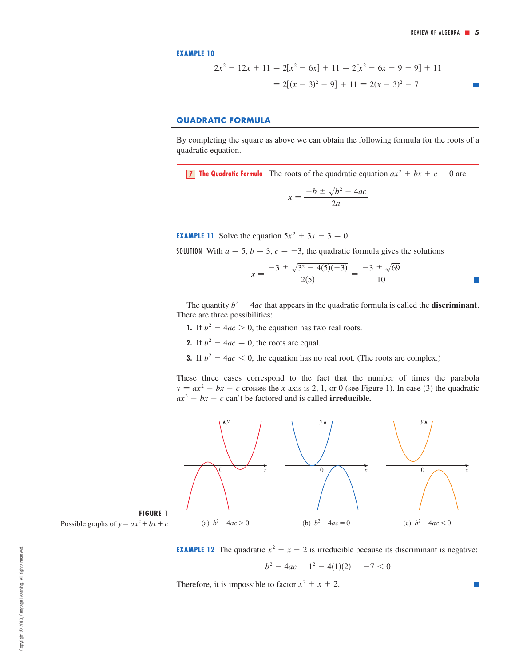$\mathcal{C}^{\mathcal{A}}$ 

**EXAMPLE 10**

$$
2x2 - 12x + 11 = 2[x2 - 6x] + 11 = 2[x2 - 6x + 9 - 9] + 11
$$

$$
= 2[(x - 3)2 - 9] + 11 = 2(x - 3)2 - 7
$$

## **QUADRATIC FORMULA**

By completing the square as above we can obtain the following formula for the roots of a quadratic equation.

**T** The Quadratic Formula The roots of the quadratic equation  $ax^2 + bx + c = 0$  are  $x = \frac{-b \pm \sqrt{b^2 - 4ac}}{2a}$ 

**EXAMPLE 11** Solve the equation  $5x^2 + 3x - 3 = 0$ .

**SOLUTION** With  $a = 5$ ,  $b = 3$ ,  $c = -3$ , the quadratic formula gives the solutions

$$
x = \frac{-3 \pm \sqrt{3^2 - 4(5)(-3)}}{2(5)} = \frac{-3 \pm \sqrt{69}}{10}
$$

The quantity  $b^2 - 4ac$  that appears in the quadratic formula is called the **discriminant**. There are three possibilities:

- **1.** If  $b^2 4ac > 0$ , the equation has two real roots.
- **2.** If  $b^2 4ac = 0$ , the roots are equal.
- **3.** If  $b^2 4ac < 0$ , the equation has no real root. (The roots are complex.)

These three cases correspond to the fact that the number of times the parabola  $y = ax^2 + bx + c$  crosses the *x*-axis is 2, 1, or 0 (see Figure 1). In case (3) the quadratic  $ax^2 + bx + c$  can't be factored and is called **irreducible.** 





**EXAMPLE 12** The quadratic  $x^2 + x + 2$  is irreducible because its discriminant is negative:

$$
b^2 - 4ac = 1^2 - 4(1)(2) = -7 < 0
$$

Therefore, it is impossible to factor  $x^2 + x + 2$ .

Copyright © 2013, Cengage Learning. All rights reserved. Copyright © 2013, Cengage Learning. All rights reserved.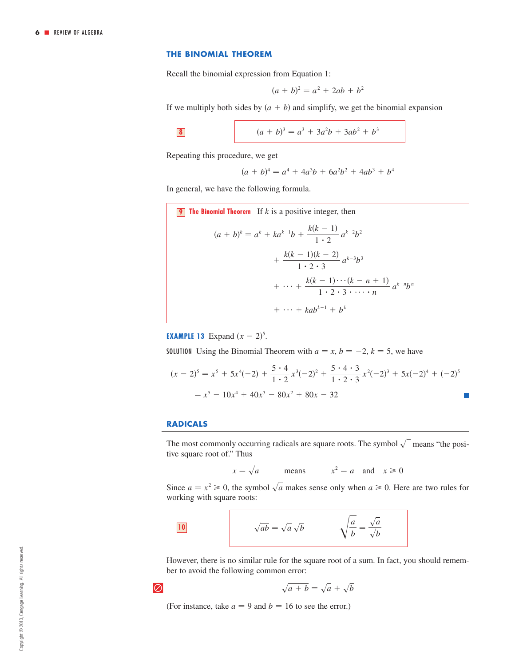## **THE BINOMIAL THEOREM**

Recall the binomial expression from Equation 1:

$$
(a + b)^2 = a^2 + 2ab + b^2
$$

If we multiply both sides by  $(a + b)$  and simplify, we get the binomial expansion

$$
\begin{array}{|c|} \hline \textbf{8} \\ \hline \end{array}
$$

8 
$$
(a+b)^3 = a^3 + 3a^2b + 3ab^2 + b^3
$$

Repeating this procedure, we get

$$
(a + b)4 = a4 + 4a3b + 6a2b2 + 4ab3 + b4
$$

In general, we have the following formula.

9 The Binomial Theorem If *k* is a positive integer, then  
\n
$$
(a + b)^k = a^k + ka^{k-1}b + \frac{k(k-1)}{1 \cdot 2}a^{k-2}b^2 + \frac{k(k-1)(k-2)}{1 \cdot 2 \cdot 3}a^{k-3}b^3 + \cdots + \frac{k(k-1)\cdots(k-n+1)}{1 \cdot 2 \cdot 3 \cdots n}a^{k-n}b^n + \cdots + kab^{k-1} + b^k
$$

**EXAMPLE 13** Expand  $(x - 2)^5$ .

**SOLUTION** Using the Binomial Theorem with  $a = x, b = -2, k = 5$ , we have

$$
(x - 2)^5 = x^5 + 5x^4(-2) + \frac{5 \cdot 4}{1 \cdot 2}x^3(-2)^2 + \frac{5 \cdot 4 \cdot 3}{1 \cdot 2 \cdot 3}x^2(-2)^3 + 5x(-2)^4 + (-2)^5
$$
  
=  $x^5 - 10x^4 + 40x^3 - 80x^2 + 80x - 32$ 

### **RADICALS**

The most commonly occurring radicals are square roots. The symbol  $\sqrt{\ }$  means "the positive square root of." Thus

$$
x = \sqrt{a}
$$
 means  $x^2 = a$  and  $x \ge 0$ 

Since  $a = x^2 \ge 0$ , the symbol  $\sqrt{a}$  makes sense only when  $a \ge 0$ . Here are two rules for working with square roots:

$$
\sqrt{ab} = \sqrt{a}\sqrt{b} \qquad \qquad \sqrt{\frac{a}{b}} = \frac{\sqrt{a}}{\sqrt{b}}
$$

However, there is no similar rule for the square root of a sum. In fact, you should remember to avoid the following common error:

$$
\overline{\oslash}
$$

$$
\sqrt{a+b} = \sqrt{a} + \sqrt{b}
$$

(For instance, take  $a = 9$  and  $b = 16$  to see the error.)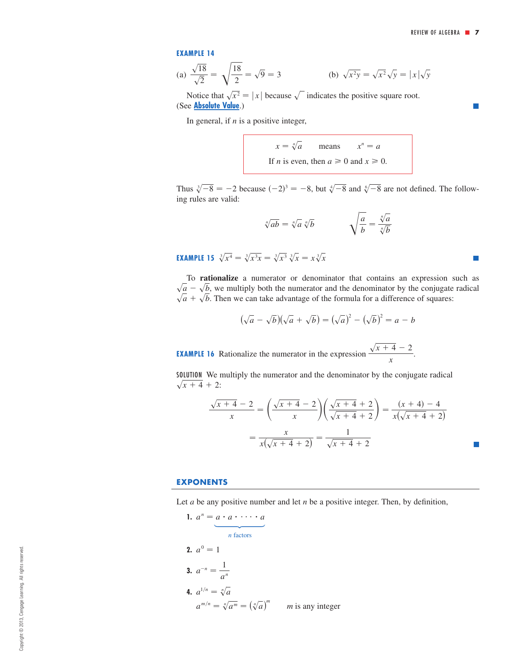П

 $\Box$ 

#### **EXAMPLE 14**

(a) 
$$
\frac{\sqrt{18}}{\sqrt{2}} = \sqrt{\frac{18}{2}} = \sqrt{9} = 3
$$
 (b)  $\sqrt{x^2y} = \sqrt{x^2}\sqrt{y} = |x|\sqrt{y}$ 

Notice that  $\sqrt{x^2} = |x|$  because  $\sqrt{\ }$  indicates the positive square root. (See **[Absolute Value](#page-9-0)**.)

In general, if  $n$  is a positive integer,

means If *n* is even, then  $a \ge 0$  and  $x \ge 0$ .  $x = \sqrt[n]{a}$  means  $x^n = a$ 

Thus  $\sqrt[3]{-8} = -2$  because  $(-2)^3 = -8$ , but  $\sqrt[4]{-8}$  and  $\sqrt[6]{-8}$  are not defined. The following rules are valid:

$$
\sqrt[n]{ab} = \sqrt[n]{a} \sqrt[n]{b} \qquad \qquad \sqrt{\frac{a}{b}} = \frac{\sqrt[n]{a}}{\sqrt[n]{b}}
$$

**EXAMPLE 15**  $\sqrt[3]{x^4} = \sqrt[3]{x^3x} = \sqrt[3]{x^3} \sqrt[3]{x} = x \sqrt[3]{x}$ 

To **rationalize** a numerator or denominator that contains an expression such as  $\sqrt{a} - \sqrt{b}$ , we multiply both the numerator and the denominator by the conjugate radical  $\sqrt{a} + \sqrt{b}$ . Then we can take advantage of the formula for a difference of squares:

$$
(\sqrt{a} - \sqrt{b})(\sqrt{a} + \sqrt{b}) = (\sqrt{a})^2 - (\sqrt{b})^2 = a - b
$$

**EXAMPLE 16** Rationalize the numerator in the expression  $\frac{\sqrt{x+4}-2}{\sqrt{x+4}-2}$ . *x*

SOLUTION We multiply the numerator and the denominator by the conjugate radical  $\sqrt{x+4} + 2$ :

$$
\frac{\sqrt{x+4}-2}{x} = \left(\frac{\sqrt{x+4}-2}{x}\right)\left(\frac{\sqrt{x+4}+2}{\sqrt{x+4}+2}\right) = \frac{(x+4)-4}{x(\sqrt{x+4}+2)}
$$

$$
= \frac{x}{x(\sqrt{x+4}+2)} = \frac{1}{\sqrt{x+4}+2}
$$

### **EXPONENTS**

Let  $a$  be any positive number and let  $n$  be a positive integer. Then, by definition,

**1.**  $a^n = a \cdot a \cdot \cdots \cdot a$ *n* factors **2.**  $a^0 = 1$ **3.**  $a^{-n} = \frac{1}{a^n}$ **4.**  $a^{1/n} = \sqrt[n]{a}$  $a^{m/n} = \sqrt[n]{a^m} = (\sqrt[n]{a})^m$  *m* is any integer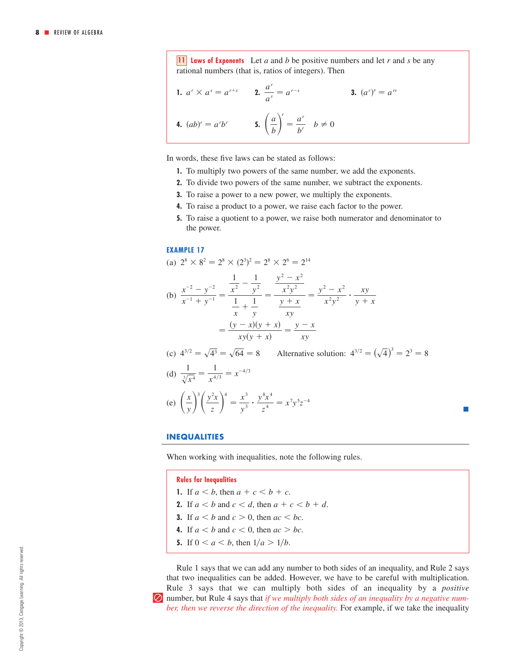**11** *laws of Exponents* Let a and b be positive numbers and let r and s be any rational numbers (that is, ratios of integers). Then

**1.** 
$$
a^r \times a^s = a^{r+s}
$$
 **2.**  $\frac{a^r}{a^s} = a^{r-s}$  **3.**  $(a^r)^s = a^{rs}$   
**4.**  $(ab)^r = a^r b^r$  **5.**  $\left(\frac{a}{b}\right)^r = \frac{a^r}{b^r} \quad b \neq 0$ 

In words, these five laws can be stated as follows:

- **1.** To multiply two powers of the same number, we add the exponents.
- **2.** To divide two powers of the same number, we subtract the exponents.
- **3.** To raise a power to a new power, we multiply the exponents.
- **4.** To raise a product to a power, we raise each factor to the power.
- **5.** To raise a quotient to a power, we raise both numerator and denominator to the power.

### **EXAMPLE 17**

(a) 
$$
2^8 \times 8^2 = 2^8 \times (2^3)^2 = 2^8 \times 2^6 = 2^{14}
$$

(b) 
$$
\frac{x^{-2} - y^{-2}}{x^{-1} + y^{-1}} = \frac{\frac{1}{x^2} - \frac{1}{y^2}}{\frac{1}{x} + \frac{1}{y}} = \frac{\frac{y^2 - x^2}{x^2 y^2}}{\frac{y + x}{xy}} = \frac{y^2 - x^2}{x^2 y^2} \cdot \frac{xy}{y + x}
$$

$$
= \frac{(y - x)(y + x)}{xy(y + x)} = \frac{y - x}{xy}
$$

(c) 
$$
4^{3/2} = \sqrt{4^3} = \sqrt{64} = 8
$$
 Alternative solution:  $4^{3/2} = (\sqrt{4})^3 = 2^3 = 8$   
\n(d)  $\frac{1}{\sqrt[3]{x^4}} = \frac{1}{x^{4/3}} = x^{-4/3}$   
\n(e)  $\left(\frac{x}{y}\right)^3 \left(\frac{y^2 x}{z}\right)^4 = \frac{x^3}{y^3} \cdot \frac{y^8 x^4}{z^4} = x^7 y^5 z^{-4}$ 

**INEQUALITIES**

*x*

When working with inequalities, note the following rules.

**Rules for Inequalities**

- **1.** If  $a < b$ , then  $a + c < b + c$ .
- **2.** If  $a < b$  and  $c < d$ , then  $a + c < b + d$ .
- **3.** If  $a < b$  and  $c > 0$ , then  $ac < bc$ .
- **4.** If  $a < b$  and  $c < 0$ , then  $ac > bc$ .
- **5.** If  $0 < a < b$ , then  $1/a > 1/b$ .

Rule 1 says that we can add any number to both sides of an inequality, and Rule 2 says that two inequalities can be added. However, we have to be careful with multiplication. Rule 3 says that we can multiply both sides of an inequality by a *positive*  | number, but Rule 4 says that *if we multiply both sides of an inequality by a negative number, then we reverse the direction of the inequality.* For example, if we take the inequality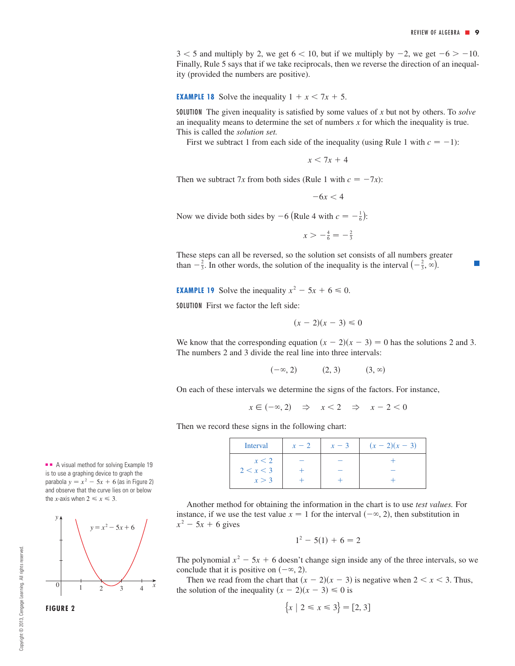$3 < 5$  and multiply by 2, we get  $6 < 10$ , but if we multiply by  $-2$ , we get  $-6 > -10$ . Finally, Rule 5 says that if we take reciprocals, then we reverse the direction of an inequality (provided the numbers are positive).

**EXAMPLE 18** Solve the inequality  $1 + x < 7x + 5$ .

SOLUTION The given inequality is satisfied by some values of  $x$  but not by others. To *solve* an inequality means to determine the set of numbers  $x$  for which the inequality is true. This is called the *solution set.* 

First we subtract 1 from each side of the inequality (using Rule 1 with  $c = -1$ ):

 $x < 7x + 4$ 

Then we subtract 7x from both sides (Rule 1 with  $c = -7x$ ):

$$
-6x<4
$$

Now we divide both sides by  $-6$  (Rule 4 with  $c = -\frac{1}{6}$ ):

 $x > -\frac{4}{6} = -\frac{2}{3}$ 

These steps can all be reversed, so the solution set consists of all numbers greater than  $-\frac{2}{3}$ . In other words, the solution of the inequality is the interval  $\left(-\frac{2}{3}, \infty\right)$ .

**EXAMPLE 19** Solve the inequality  $x^2 - 5x + 6 \le 0$ .

SOLUTION First we factor the left side:

$$
(x-2)(x-3) \leq 0
$$

We know that the corresponding equation  $(x - 2)(x - 3) = 0$  has the solutions 2 and 3. The numbers 2 and 3 divide the real line into three intervals:

> $(-\infty, 2)$  (2, 3)  $(3, \infty)$

On each of these intervals we determine the signs of the factors. For instance,

 $x \in (-\infty, 2) \Rightarrow x < 2 \Rightarrow x - 2 < 0$ 

Then we record these signs in the following chart:

| Interval  | $x-2$ | $x-3$ | $(x-2)(x-3)$ |
|-----------|-------|-------|--------------|
| x < 2     |       |       |              |
| 2 < x < 3 |       |       |              |
| x > 3     |       |       |              |

Another method for obtaining the information in the chart is to use *test values.* For instance, if we use the test value  $x = 1$  for the interval  $(-\infty, 2)$ , then substitution in  $x^2$  – 5*x* + 6 gives

$$
1^2 - 5(1) + 6 = 2
$$

The polynomial  $x^2 - 5x + 6$  doesn't change sign inside any of the three intervals, so we conclude that it is positive on  $(-\infty, 2)$ .

Then we read from the chart that  $(x - 2)(x - 3)$  is negative when  $2 < x < 3$ . Thus, the solution of the inequality  $(x - 2)(x - 3) \le 0$  is

$$
\{x \mid 2 \le x \le 3\} = [2, 3]
$$

■ ■ A visual method for solving Example 19 is to use a graphing device to graph the parabola  $y = x^2 - 5x + 6$  (as in Figure 2) and observe that the curve lies on or below the *x*-axis when  $2 \le x \le 3$ .

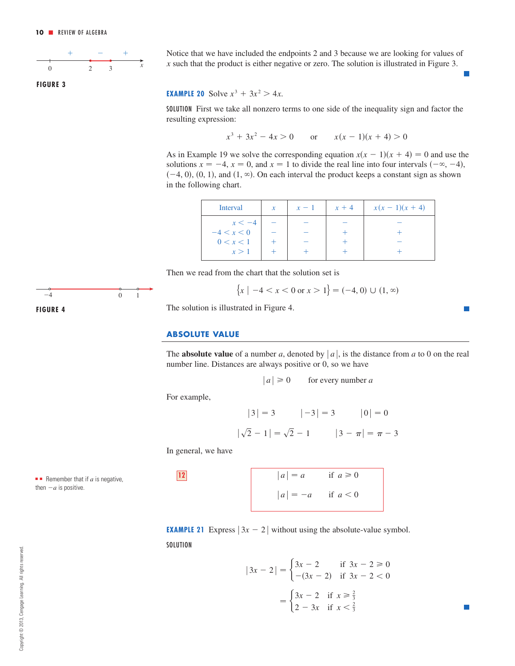<span id="page-9-0"></span>

**FIGURE 3**

Notice that we have included the endpoints 2 and 3 because we are looking for values of  $x$  such that the product is either negative or zero. The solution is illustrated in Figure 3.

## **EXAMPLE 20** Solve  $x^3 + 3x^2 > 4x$ .

SOLUTION First we take all nonzero terms to one side of the inequality sign and factor the resulting expression:

$$
x^3 + 3x^2 - 4x > 0 \qquad \text{or} \qquad x(x - 1)(x + 4) > 0
$$

As in Example 19 we solve the corresponding equation  $x(x - 1)(x + 4) = 0$  and use the solutions  $x = -4$ ,  $x = 0$ , and  $x = 1$  to divide the real line into four intervals  $(-\infty, -4)$ ,  $(-4, 0), (0, 1),$  and  $(1, \infty)$ . On each interval the product keeps a constant sign as shown in the following chart.

| $\mathcal{X}$ | $x-1$ | $x + 4$ | $x(x-1)(x+4)$ |
|---------------|-------|---------|---------------|
|               |       |         |               |
|               |       |         |               |
|               |       |         |               |
|               |       |         |               |
|               |       |         |               |

Then we read from the chart that the solution set is

$$
\{x \mid -4 < x < 0 \text{ or } x > 1\} = (-4, 0) \cup (1, \infty)
$$

The solution is illustrated in Figure 4.

### **ABSOLUTE VALUE**

The **absolute value** of a number a, denoted by  $|a|$ , is the distance from a to 0 on the real number line. Distances are always positive or 0, so we have

$$
|a| \ge 0
$$
 for every number a

For example,

$$
|3| = 3
$$
  $|-3| = 3$   $|0| = 0$   
 $|\sqrt{2} - 1| = \sqrt{2} - 1$   $|3 - \pi| = \pi - 3$ 

In general, we have

 $\blacksquare$  Remember that if  $a$  is negative,

then  $-a$  is positive.

```
|a| = -a if a < 012 |a| = a if a \ge 0
```
**EXAMPLE 21** Express  $|3x - 2|$  without using the absolute-value symbol. **SOLUTION** 

$$
|3x - 2| = \begin{cases} 3x - 2 & \text{if } 3x - 2 \ge 0 \\ -(3x - 2) & \text{if } 3x - 2 < 0 \end{cases}
$$

$$
= \begin{cases} 3x - 2 & \text{if } x \ge \frac{2}{3} \\ 2 - 3x & \text{if } x < \frac{2}{3} \end{cases}
$$

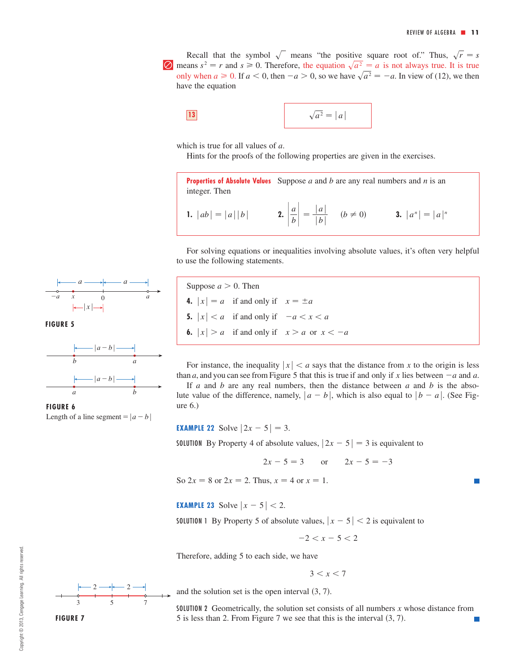Recall that the symbol  $\sqrt{\ }$  means "the positive square root of." Thus,  $\sqrt{r} = s$  $\Box$  means  $s^2 = r$  and  $s \ge 0$ . Therefore, the equation  $\sqrt{a^2} = a$  is not always true. It is true only when  $a \ge 0$ . If  $a < 0$ , then  $-a > 0$ , so we have  $\sqrt{a^2} = -a$ . In view of (12), we then have the equation

$$
\sqrt{a^2} = |a|
$$

which is true for all values of  $a$ .

Hints for the proofs of the following properties are given in the exercises.

**Properties of Absolute Values** Suppose a and b are any real numbers and n is an integer. Then

**1.** 
$$
|ab| = |a||b|
$$
 **2.**  $\left| \frac{a}{b} \right| = \frac{|a|}{|b|}$   $(b \neq 0)$  **3.**  $|a^n| = |a|^n$ 

For solving equations or inequalities involving absolute values, it's often very helpful to use the following statements.

 $a \longrightarrow a$  $|a-b|$ 

Length of a line segment =  $|a-b|$ 

Suppose  $a > 0$ . Then **4.**  $|x| = a$  if and only if  $x = \pm a$ **5.**  $|x| < a$  if and only if  $-a < x < a$ **6.**  $|x| > a$  if and only if  $x > a$  or  $x < -a$ 

For instance, the inequality  $|x| < a$  says that the distance from x to the origin is less than a, and you can see from Figure 5 that this is true if and only if x lies between  $-a$  and a. If  $a$  and  $b$  are any real numbers, then the distance between  $a$  and  $b$  is the abso-

lute value of the difference, namely,  $|a - b|$ , which is also equal to  $|b - a|$ . (See Figure 6.)

**EXAMPLE 22** Solve  $|2x - 5| = 3$ .

**SOLUTION** By Property 4 of absolute values,  $|2x - 5| = 3$  is equivalent to

$$
2x - 5 = 3
$$
 or  $2x - 5 = -3$ 

So  $2x = 8$  or  $2x = 2$ . Thus,  $x = 4$  or  $x = 1$ .

**EXAMPLE 23** Solve  $|x - 5| < 2$ .

**SOLUTION** 1 By Property 5 of absolute values,  $|x-5| < 2$  is equivalent to

 $-2 < x - 5 < 2$ 

Therefore, adding 5 to each side, we have

 $3 < x < 7$ 

and the solution set is the open interval  $(3, 7)$ .

SOLUTION 2 Geometrically, the solution set consists of all numbers  $x$  whose distance from 5 is less than 2. From Figure 7 we see that this is the interval  $(3, 7)$ .



**FIGURE 6**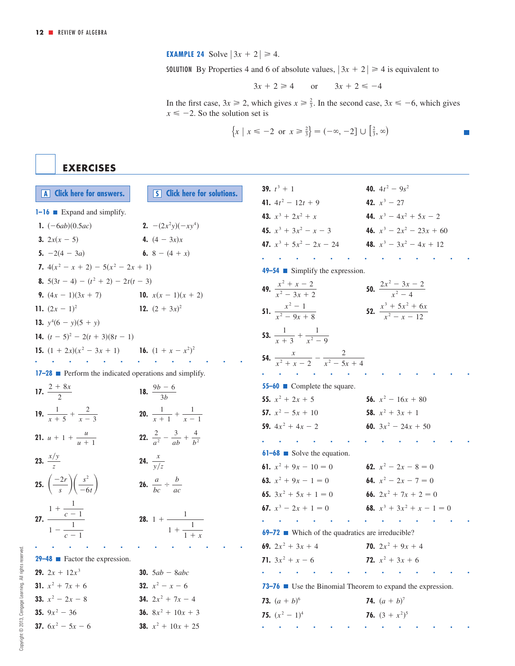**EXAMPLE 24** Solve  $|3x + 2| \ge 4$ .

**SOLUTION** By Properties 4 and 6 of absolute values,  $|3x + 2| \ge 4$  is equivalent to

$$
3x + 2 \ge 4 \qquad \text{or} \qquad 3x + 2 \le -4
$$

In the first case,  $3x \ge 2$ , which gives  $x \ge \frac{2}{3}$ . In the second case,  $3x \le -6$ , which gives  $x \le -2$ . So the solution set is  $3x \ge 2$ , which gives  $x \ge \frac{2}{3}$ . In the second case,  $3x \le -6$ 

$$
\{x \mid x \le -2 \text{ or } x \ge \frac{2}{3}\} = (-\infty, -2] \cup [\frac{2}{3}, \infty)
$$

**EXERCISES**

| A Click here for answers.                                        | <b>S</b> Click here for solutions.                      | 39. $t^3 + 1$                                                           | 40. $4t^2 - 9s^2$                          |
|------------------------------------------------------------------|---------------------------------------------------------|-------------------------------------------------------------------------|--------------------------------------------|
| $1 - 16$ Expand and simplify.                                    |                                                         | 41. $4t^2 - 12t + 9$                                                    | 42. $x^3$ – 27                             |
|                                                                  | <b>2.</b> $-(2x^2y)(-xy^4)$                             | 43. $x^3 + 2x^2 + x$                                                    | 44. $x^3 - 4x^2 + 5x - 2$                  |
| 1. $(-6ab)(0.5ac)$                                               |                                                         | 45. $x^3 + 3x^2 - x - 3$                                                | 46. $x^3 - 2x^2 - 23x + 60$                |
| 3. $2x(x - 5)$                                                   | 4. $(4 - 3x)x$                                          | 47. $x^3 + 5x^2 - 2x - 24$                                              | 48. $x^3 - 3x^2 - 4x + 12$                 |
| 5. $-2(4 - 3a)$                                                  | 6. 8 – $(4 + x)$                                        |                                                                         |                                            |
| 7. $4(x^2 - x + 2) - 5(x^2 - 2x + 1)$                            |                                                         | $49-54$ Simplify the expression.                                        |                                            |
| 8. $5(3t-4) - (t^2 + 2) - 2t(t - 3)$                             |                                                         | 49. $\frac{x^2 + x - 2}{x^2 - 3x + 2}$                                  | <b>50.</b> $\frac{2x^2-3x-2}{x^2-4}$       |
| 9. $(4x - 1)(3x + 7)$                                            | 10. $x(x-1)(x+2)$                                       |                                                                         |                                            |
| 11. $(2x - 1)^2$                                                 | 12. $(2 + 3x)^2$                                        | 51. $\frac{x^2-1}{x^2-9x+8}$                                            | 52. $\frac{x^3 + 5x^2 + 6x}{x^2 - x - 12}$ |
| 13. $v^4(6 - y)(5 + y)$                                          |                                                         |                                                                         |                                            |
| 14. $(t-5)^2$ – 2(t + 3)(8t – 1)                                 |                                                         | 53. $\frac{1}{x+3} + \frac{1}{x^2-9}$                                   |                                            |
| <b>15.</b> $(1 + 2x)(x^2 - 3x + 1)$ <b>16.</b> $(1 + x - x^2)^2$ |                                                         |                                                                         |                                            |
|                                                                  |                                                         | <b>54.</b> $\frac{x}{r^2 + r - 2} - \frac{2}{r^2 - 5r + 4}$             |                                            |
| 17-28 Perform the indicated operations and simplify.             |                                                         |                                                                         |                                            |
| 17. $\frac{2 + 8x}{2}$                                           | 18. $\frac{9b-6}{3b}$                                   | 55-60 Complete the square.                                              |                                            |
|                                                                  |                                                         | 55. $x^2 + 2x + 5$                                                      | 56. $x^2 - 16x + 80$                       |
| 19. $\frac{1}{x+5} + \frac{2}{x-3}$                              | 20. $\frac{1}{r+1} + \frac{1}{r-1}$                     | 57. $x^2 - 5x + 10$                                                     | 58. $x^2 + 3x + 1$                         |
|                                                                  |                                                         | 59. $4x^2 + 4x - 2$                                                     | 60. $3x^2 - 24x + 50$                      |
| <b>21.</b> $u + 1 + \frac{u}{u + 1}$                             | <b>22.</b> $rac{2}{a^2} - \frac{3}{ab} + \frac{4}{b^2}$ |                                                                         |                                            |
| 23. $\frac{x/y}{7}$                                              |                                                         | $61-68$ Solve the equation.                                             |                                            |
|                                                                  | <b>24.</b> $\frac{x}{\sqrt{z}}$                         | 61. $x^2 + 9x - 10 = 0$                                                 | 62. $x^2 - 2x - 8 = 0$                     |
| 25. $\left(\frac{-2r}{s}\right)\left(\frac{s^2}{-6t}\right)$     | <b>26.</b> $\frac{a}{bc} \div \frac{b}{ac}$             | <b>63.</b> $x^2 + 9x - 1 = 0$<br><b>64.</b> $x^2 - 2x - 7 = 0$          |                                            |
|                                                                  |                                                         | 65. $3x^2 + 5x + 1 = 0$                                                 | 66. $2x^2 + 7x + 2 = 0$                    |
|                                                                  |                                                         | 67. $x^3 - 2x + 1 = 0$                                                  | 68. $x^3 + 3x^2 + x - 1 = 0$               |
| 27. $rac{1 + \frac{1}{c - 1}}{1 - \frac{1}{c - 1}}$              | <b>28.</b> 1 + $\frac{1}{1 + \frac{1}{1 + x}}$          |                                                                         |                                            |
|                                                                  |                                                         | <b>69–72</b> • Which of the quadratics are irreducible?                 |                                            |
|                                                                  |                                                         | 69. $2x^2 + 3x + 4$                                                     | <b>70.</b> $2x^2 + 9x + 4$                 |
| <b>29-48</b> Eactor the expression.                              |                                                         | 71. $3x^2 + x - 6$                                                      | 72. $x^2 + 3x + 6$                         |
| <b>29.</b> $2x + 12x^3$                                          | <b>30.</b> $5ab - 8abc$                                 |                                                                         | the contract of the contract of            |
| 31. $x^2 + 7x + 6$                                               | <b>32.</b> $x^2 - x - 6$                                | 73–76 $\blacksquare$ Use the Binomial Theorem to expand the expression. |                                            |
| 33. $x^2 - 2x - 8$                                               | <b>34.</b> $2x^2 + 7x - 4$                              | <b>73.</b> $(a + b)^6$                                                  | <b>74.</b> $(a + b)^7$                     |
| 35. $9x^2 - 36$                                                  | <b>36.</b> $8x^2 + 10x + 3$                             | 75. $(x^2 - 1)^4$                                                       | <b>76.</b> $(3 + x^2)^5$                   |
| 37. $6x^2 - 5x - 6$                                              | <b>38.</b> $x^2 + 10x + 25$                             |                                                                         |                                            |
|                                                                  |                                                         |                                                                         |                                            |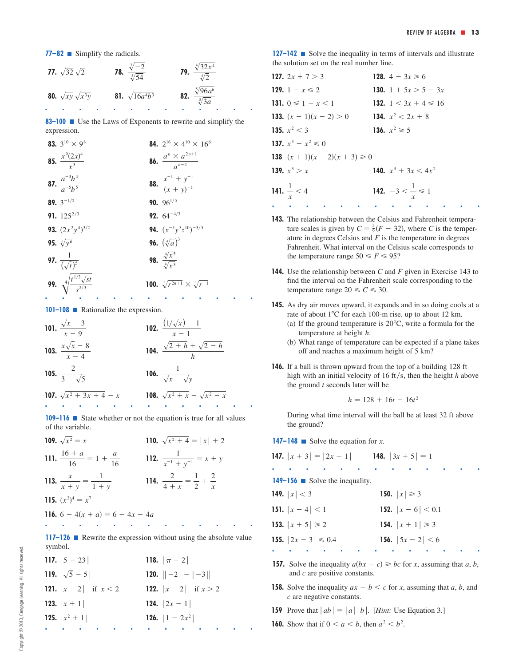**77–82** ■ Simplify the radicals.

**77.** 
$$
\sqrt{32}\sqrt{2}
$$
  
\n**78.**  $\frac{\sqrt[3]{-2}}{\sqrt[3]{54}}$   
\n**79.**  $\frac{\sqrt[4]{32x^4}}{\sqrt[4]{2}}$   
\n**80.**  $\sqrt{xy}\sqrt{x^3y}$   
\n**81.**  $\sqrt{16a^4b^3}$   
\n**82.**  $\frac{\sqrt[5]{96a^6}}{\sqrt[5]{3a}}$ 

**83–100** Use the Laws of Exponents to rewrite and simplify the expression.

| 83. $3^{10} \times 9^8$                                 | 84. $2^{16} \times 4^{10} \times 16^6$            |
|---------------------------------------------------------|---------------------------------------------------|
| <b>85.</b> $\frac{x^9(2x)^4}{x^3}$                      | <b>86.</b> $\frac{a^n \times a^{2n+1}}{a^{n-2}}$  |
| <b>87.</b> $\frac{a^{-3}b^4}{a^{-5}b^5}$                | <b>88.</b> $\frac{x^{-1} + y^{-1}}{(x + y)^{-1}}$ |
| 89. $3^{-1/2}$                                          | 90. $96^{1/5}$                                    |
| 91. $125^{2/3}$                                         | <b>92.</b> $64^{-4/3}$                            |
| <b>93.</b> $(2x^2y^4)^{3/2}$                            | <b>94.</b> $(x^{-5}y^3z^{10})^{-3/5}$             |
| <b>95.</b> $\sqrt[5]{y^6}$                              | <b>96.</b> $(\sqrt[4]{a})^3$                      |
| <b>97.</b> $\frac{1}{(\sqrt{t})^5}$                     | 98. $\frac{\sqrt[8]{x^5}}{\sqrt[4]{x^3}}$         |
| <b>99.</b> $\sqrt[4]{\frac{t^{1/2}\sqrt{st}}{s^{2/3}}}$ | 100. $\sqrt[4]{r^{2n+1}} \times \sqrt[4]{r^{-1}}$ |
|                                                         |                                                   |

**101–108 ■** Rationalize the expression.

101. 
$$
\frac{\sqrt{x} - 3}{x - 9}
$$
  
\n102.  $\frac{(1/\sqrt{x}) - 1}{x - 1}$   
\n103.  $\frac{x\sqrt{x} - 8}{x - 4}$   
\n104.  $\frac{\sqrt{2} + h + \sqrt{2} - h}{h}$   
\n105.  $\frac{2}{3 - \sqrt{5}}$   
\n106.  $\frac{1}{\sqrt{x} - \sqrt{y}}$   
\n107.  $\sqrt{x^2 + 3x + 4} - x$   
\n108.  $\sqrt{x^2 + x} - \sqrt{x^2 - x}$ 

**109–116** ■ State whether or not the equation is true for all values of the variable.

| 109. $\sqrt{x^2} = x$                       | 110. $\sqrt{x^2+4} =  x  + 2$                    |
|---------------------------------------------|--------------------------------------------------|
| 111. $\frac{16 + a}{16} = 1 + \frac{a}{16}$ | 112. $\frac{1}{x^{-1} + y^{-1}} = x + y$         |
| 113. $\frac{x}{x+y} = \frac{1}{1+y}$        | 114. $\frac{2}{4+x} = \frac{1}{2} + \frac{2}{x}$ |
| 115. $(x^3)^4 = x^7$                        |                                                  |
| <b>116.</b> $6 - 4(x + a) = 6 - 4x - 4a$    |                                                  |

■■■■■■■■■■■■■ **117–126** Rewrite the expression without using the absolute value symbol.

| 117. $ 5 - 23 $                | 118. $ \pi - 2 $               |
|--------------------------------|--------------------------------|
| 119. $ \sqrt{5}-5 $            | 120. $ -2 - -3 $               |
| <b>121.</b> $ x-2 $ if $x < 2$ | <b>122.</b> $ x-2 $ if $x > 2$ |
| 123. $ x + 1 $                 | 124. $ 2x-1 $                  |
| 125. $ x^2 + 1 $               | <b>126.</b> $ 1 - 2x^2 $       |
|                                |                                |

**127–142** ■ Solve the inequality in terms of intervals and illustrate the solution set on the real number line.

| 127. $2x + 7 > 3$                                           | 128. $4 - 3x \ge 6$           |
|-------------------------------------------------------------|-------------------------------|
| 129. $1 - x \le 2$                                          | 130. 1 + $5x > 5 - 3x$        |
| 131. $0 \leq 1 - x \leq 1$                                  | 132. $1 < 3x + 4 \le 16$      |
| <b>133.</b> $(x - 1)(x - 2) > 0$ <b>134.</b> $x^2 < 2x + 8$ |                               |
| 135. $x^2 < 3$                                              | 136. $x^2 \ge 5$              |
| 137. $x^3 - x^2 \leq 0$                                     |                               |
| 138 $(x + 1)(x - 2)(x + 3) \ge 0$                           |                               |
| 139. $x^3 > x$                                              | 140. $x^3 + 3x < 4x^2$        |
| 141. $\frac{1}{x}$ < 4                                      | 142. $-3 < \frac{1}{x} \le 1$ |

**143.** The relationship between the Celsius and Fahrenheit temperature scales is given by  $C = \frac{5}{9}(F - 32)$ , where C is the temperature in degrees Celsius and  $F$  is the temperature in degrees Fahrenheit. What interval on the Celsius scale corresponds to the temperature range  $50 \le F \le 95$ ?

■■■■■■■■■■■■■

- **144.** Use the relationship between C and F given in Exercise 143 to find the interval on the Fahrenheit scale corresponding to the temperature range  $20 \le C \le 30$ .
- **145.** As dry air moves upward, it expands and in so doing cools at a rate of about  $1^{\circ}$ C for each 100-m rise, up to about 12 km.
	- (a) If the ground temperature is  $20^{\circ}$ C, write a formula for the temperature at height h.
	- (b) What range of temperature can be expected if a plane takes off and reaches a maximum height of 5 km?
- **146.** If a ball is thrown upward from the top of a building 128 ft high with an initial velocity of 16 ft/s, then the height  $h$  above the ground  $t$  seconds later will be

$$
h = 128 + 16t - 16t^2
$$

During what time interval will the ball be at least 32 ft above the ground?

**147–148** Solve the equation for  $x$ .

| <b>147.</b> $ x+3  =  2x+1 $ <b>148.</b> $ 3x+5  = 1$ |                            |
|-------------------------------------------------------|----------------------------|
|                                                       |                            |
| <b>149–156</b> Solve the inequality.                  |                            |
| 149. $ x  < 3$                                        | 150. $ x  \ge 3$           |
| 151. $ x-4  < 1$                                      | <b>152.</b> $ x-6  < 0.1$  |
| 153. $ x + 5  \ge 2$                                  | 154. $ x + 1  \ge 3$       |
| <b>155.</b> $ 2x - 3  \le 0.4$                        | <b>156.</b> $ 5x - 2  < 6$ |
|                                                       |                            |

- **157.** Solve the inequality  $a(bx c) \geq bc$  for *x*, assuming that *a*, *b*, and c are positive constants.
- **158.** Solve the inequality  $ax + b < c$  for x, assuming that a, b, and are negative constants. *c*
- **159** Prove that  $|ab| = |a||b|$ . [*Hint:* Use Equation 3.]
- **160.** Show that if  $0 < a < b$ , then  $a^2 < b^2$ .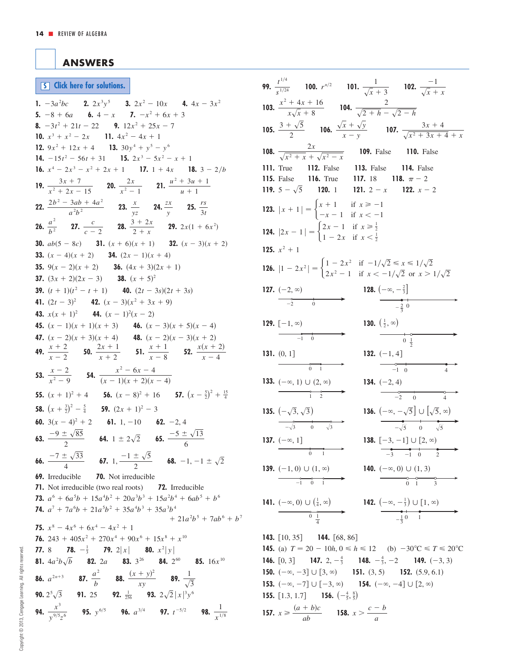## <span id="page-13-0"></span>**ANSWERS**

**S [Click here for solutions.](#page-14-0)**

**1.**  $-3a^2bc$  **2.**  $2x^3y^5$  **3.**  $2x^2 - 10x$  **4.**  $4x - 3x^2$ **5.**  $-8 + 6a$  **6.**  $4 - x$  **7.**  $-x^2 + 6x + 3$ **8.**  $-3t^2 + 21t - 22$  **9.**  $12x^2 + 25x - 7$ **10.**  $x^3 + x^2 - 2x$  **11.**  $4x^2 - 4x + 1$ **12.**  $9x^2 + 12x + 4$  **13.**  $30y^4 + y^5 - y^6$ **14.**  $-15t^2 - 56t + 31$  **15.**  $2x^3 - 5x^2 - x + 1$ **16.**  $x^4 - 2x^3 - x^2 + 2x + 1$  **17.**  $1 + 4x$  **18.**  $3 - 2/b$ **19.**  $\frac{3x+7}{2x-2}$  **20.**  $\frac{2x}{2}$  **21.**  $\frac{u^2+3u+1}{u^2}$ **22.**  $\frac{2b^2 - 3ab + 4a^2}{a}$  **23.**  $\frac{x}{a}$  **24.**  $\frac{zx}{a}$  **25.**  $\frac{rs}{a}$ **26.**  $\frac{a^2}{12}$  **27.**  $\frac{c}{2}$  **28.**  $\frac{3+2x}{2}$  **29.**  $2x(1+6x^2)$ **30.**  $ab(5-8c)$  **31.**  $(x+6)(x+1)$  **32.**  $(x-3)(x+2)$ **33.**  $(x - 4)(x + 2)$  **34.**  $(2x - 1)(x + 4)$ **35.**  $9(x-2)(x+2)$  **36.**  $(4x+3)(2x+1)$ **37.**  $(3x + 2)(2x - 3)$  **38.**  $(x + 5)^2$ **39.**  $(t + 1)(t^2 - t + 1)$  **40.**  $(2t - 3s)(2t + 3s)$ **41.**  $(2t-3)^2$  **42.**  $(x-3)(x^2+3x+9)$ **43.**  $x(x + 1)^2$  **44.**  $(x - 1)^2(x - 2)$ **45.**  $(x - 1)(x + 1)(x + 3)$  **46.**  $(x - 3)(x + 5)(x - 4)$ **47.**  $(x - 2)(x + 3)(x + 4)$  **48.**  $(x - 2)(x - 3)(x + 2)$ **49.**  $\frac{x+2}{x-2}$  **50.**  $\frac{2x+1}{x+2}$  **51.**  $\frac{x+1}{x-8}$  **52.**  $\frac{x(x+2)}{x-4}$ **53.**  $\frac{x-2}{2}$  **54.**  $\frac{x^2-6x-4}{(x-1)(x+2)^2}$ **55.**  $(x + 1)^2 + 4$  **56.**  $(x - 8)^2 + 16$  **57.**  $(x - \frac{5}{2})^2 + \frac{15}{4}$ **58.**  $(x + \frac{3}{2})^2 - \frac{5}{4}$  **59.**  $(2x + 1)^2 - 3$ **60.**  $3(x-4)^2 + 2$  **61.** 1, -10 **62.** -2, 4 **63.**  $\frac{-9 \pm \sqrt{85}}{2}$  **64.**  $1 \pm 2\sqrt{2}$  **65.**  $\frac{-5 \pm \sqrt{13}}{2}$ **66.**  $\frac{-7 \pm \sqrt{33}}{4}$  **67.** 1,  $\frac{-1 \pm \sqrt{5}}{2}$  **68.** -1, -1  $\pm \sqrt{2}$ **69.** Irreducible **70.** Not irreducible **71.** Not irreducible (two real roots) **72.** Irreducible **73.**  $a^6 + 6a^5b + 15a^4b^2 + 20a^3b^3 + 15a^2b^4 + 6ab^5 + b^6$ **74.**  $a^7 + 7a^6b + 21a^5b^2 + 35a^4b^3 + 35a^3b^4$ **75.**  $x^8 - 4x^6 + 6x^4 - 4x^2 + 1$ **76.**  $243 + 405x^2 + 270x^4 + 90x^6 + 15x^8 + x^{10}$ **77.** 8 **78.**  $-\frac{1}{3}$  **79.**  $2|x|$  **80.**  $x^2|y|$ **81.**  $4a^2b\sqrt{b}$  **82.** 2a **83.** 3<sup>26</sup> **84.** 2<sup>60</sup> **85.** 16*x*<sup>10</sup> **86.**  $a^{2n+3}$  **87. 88. 88. 89. 90.**  $2^5\sqrt{3}$  **91.** 25 **92.**  $\frac{1}{256}$  **93. 94.**  $\frac{x^3}{y^{9/5}z^6}$  **95.**  $y^{6/5}$  **96.**  $a^{3/4}$  **97.**  $t^{-5/2}$  **98.**  $\frac{1}{x^{1/8}}$ *y* <sup>9</sup> 5 *z* 6  $2^5\sqrt{3}$  **91.** 25 **92.**  $\frac{1}{256}$  **93.**  $2\sqrt{2}|x|^3y^6$ 1  $\sqrt{3}$  $(x + y)^2$ *xy*  $a^{2n+3}$  **87.**  $\frac{a^2}{b}$  $+ 21a^2b^5 + 7ab^6 + b^7$  $-7 \pm \sqrt{33}$ 4  $\frac{-9 \pm \sqrt{85}}{2}$  **64.** 1 ± 2 $\sqrt{2}$  **65.**  $\frac{-5 \pm \sqrt{2}}{6}$  $(x - 1)(x + 2)(x - 4)$  $x - 2$  $x^2 - 9$  $x + 1$  $x - 8$  $2x + 1$  $x + 2$  $x + 2$  $x - 2$  $2 + x$ *c*  $c - 2$ *a* 2 *b* 2 3*t zx y x yz*  $2b^2 - 3ab + 4a^2$  $a^2b^2$  $u + 1$ 2*x*  $x^2 - 1$  $3x + 7$  $x^2 + 2x - 15$ 

| <b>99.</b> $rac{t^{1/4}}{s^{1/24}}$ <b>100.</b> $r^{n/2}$ <b>101.</b> $rac{1}{\sqrt{x}+3}$ <b>102.</b> $rac{-1}{\sqrt{x}+x}$                                                                                                                                                                                                                                                                                                                                                                                                                                                                                                                                |
|-------------------------------------------------------------------------------------------------------------------------------------------------------------------------------------------------------------------------------------------------------------------------------------------------------------------------------------------------------------------------------------------------------------------------------------------------------------------------------------------------------------------------------------------------------------------------------------------------------------------------------------------------------------|
| <b>103.</b> $rac{x^2 + 4x + 16}{x\sqrt{x} + 8}$ <b>104.</b> $rac{2}{\sqrt{2+h} - \sqrt{2-h}}$                                                                                                                                                                                                                                                                                                                                                                                                                                                                                                                                                               |
| <b>105.</b> $rac{3 + \sqrt{5}}{2}$ <b>106.</b> $rac{\sqrt{x} + \sqrt{y}}{x - y}$ <b>107.</b> $rac{3x + 4}{\sqrt{x^2 + 3x + 4} + x}$                                                                                                                                                                                                                                                                                                                                                                                                                                                                                                                         |
| <b>108.</b> $\frac{2x}{\sqrt{x^2 + x} + \sqrt{x^2 - x}}$ <b>109.</b> False <b>110.</b> False                                                                                                                                                                                                                                                                                                                                                                                                                                                                                                                                                                |
| 112. False 113. False 114. False<br>$111.$ True                                                                                                                                                                                                                                                                                                                                                                                                                                                                                                                                                                                                             |
| <b>115.</b> False <b>116.</b> True <b>117.</b> 18 <b>118.</b> $\pi - 2$                                                                                                                                                                                                                                                                                                                                                                                                                                                                                                                                                                                     |
| 119. $5 - \sqrt{5}$ 120. 1 121. $2 - x$<br>122. $x - 2$                                                                                                                                                                                                                                                                                                                                                                                                                                                                                                                                                                                                     |
| <b>123.</b> $ x + 1  = \begin{cases} x + 1 & \text{if } x \ge -1 \\ -x - 1 & \text{if } x < -1 \end{cases}$                                                                                                                                                                                                                                                                                                                                                                                                                                                                                                                                                 |
|                                                                                                                                                                                                                                                                                                                                                                                                                                                                                                                                                                                                                                                             |
| <b>124.</b> $ 2x - 1  = \begin{cases} 2x - 1 & \text{if } x \ge \frac{1}{2} \\ 1 - 2x & \text{if } x < \frac{1}{2} \end{cases}$                                                                                                                                                                                                                                                                                                                                                                                                                                                                                                                             |
| 125. $x^2 + 1$                                                                                                                                                                                                                                                                                                                                                                                                                                                                                                                                                                                                                                              |
| <b>126.</b> $ 1 - 2x^2 $ = $\begin{cases} 1 - 2x^2 & \text{if } -1/\sqrt{2} \le x \le 1/\sqrt{2} \\ 2x^2 - 1 & \text{if } x < -1/\sqrt{2} \text{ or } x > 1/\sqrt{2} \end{cases}$                                                                                                                                                                                                                                                                                                                                                                                                                                                                           |
| <b>128.</b> $\left(-\infty, -\frac{2}{3}\right]$<br>127. $(-2, \infty)$                                                                                                                                                                                                                                                                                                                                                                                                                                                                                                                                                                                     |
| $\begin{array}{c}\n(-2, \infty) \\ \hline\n\end{array}$<br>$\begin{array}{c c}\n\bullet & \bullet \\ \hline\n-\frac{2}{3} & 0\n\end{array}$                                                                                                                                                                                                                                                                                                                                                                                                                                                                                                                 |
|                                                                                                                                                                                                                                                                                                                                                                                                                                                                                                                                                                                                                                                             |
| 130. $(\frac{1}{2}, \infty)$<br>129. $[-1, \infty)$<br>$\begin{array}{c c}\n\hline\n\end{array}$                                                                                                                                                                                                                                                                                                                                                                                                                                                                                                                                                            |
|                                                                                                                                                                                                                                                                                                                                                                                                                                                                                                                                                                                                                                                             |
| <b>132.</b> $(-1, 4]$<br>131. $(0, 1]$<br>$\begin{array}{c}\n \overline{\phantom{0}} \\  \overline{\phantom{0}} \\  \overline{\phantom{0}} \\  \overline{\phantom{0}} \\  \overline{\phantom{0}} \\  \overline{\phantom{0}} \\  \overline{\phantom{0}} \\  \overline{\phantom{0}} \\  \overline{\phantom{0}} \\  \overline{\phantom{0}} \\  \overline{\phantom{0}} \\  \overline{\phantom{0}} \\  \overline{\phantom{0}} \\  \overline{\phantom{0}} \\  \overline{\phantom{0}} \\  \overline{\phantom{0}} \\  \overline{\phantom{0}} \\  \overline{\phantom{0}} \\  \overline{\phantom{0}} \\  \overline{\phantom{0}} \\  \overline{\phantom{0}} \\  \over$ |
| $\overline{4}$                                                                                                                                                                                                                                                                                                                                                                                                                                                                                                                                                                                                                                              |
| <b>133.</b> $(-\infty, 1) \cup (2, \infty)$<br><b>134.</b> $(-2, 4)$<br>$\begin{array}{c}\n\circ \\ \hline\n1 & 2\n\end{array}$                                                                                                                                                                                                                                                                                                                                                                                                                                                                                                                             |
| $\overrightarrow{-2}$ 0                                                                                                                                                                                                                                                                                                                                                                                                                                                                                                                                                                                                                                     |
| 136. $\left(-\infty, -\sqrt{5}\right] \cup \left[\sqrt{5}, \infty\right)$<br>135. $(-\sqrt{3}, \sqrt{3})$                                                                                                                                                                                                                                                                                                                                                                                                                                                                                                                                                   |
| $-\sqrt{5}$ 0 $\sqrt{5}$<br>$-\sqrt{3}$ 0 $\sqrt{3}$                                                                                                                                                                                                                                                                                                                                                                                                                                                                                                                                                                                                        |
| 138. $[-3, -1] \cup [2, \infty)$<br>137. $(-\infty, 1]$<br>$-3, -1] \cup [2, \infty)$<br>$-3, -1, 0, 2$                                                                                                                                                                                                                                                                                                                                                                                                                                                                                                                                                     |
| $\frac{1}{0}$ 1                                                                                                                                                                                                                                                                                                                                                                                                                                                                                                                                                                                                                                             |
| 139. $(-1, 0) \cup (1, \infty)$<br>140. $(-\infty, 0) \cup (1, 3)$                                                                                                                                                                                                                                                                                                                                                                                                                                                                                                                                                                                          |
| $\begin{array}{c c}\n\circ & \circ & \circ \\ \hline\n0 & 1 & 3\n\end{array}$<br>$\begin{array}{c}\n\bullet \\ \hline\n-1 & 0 & 1\n\end{array}$                                                                                                                                                                                                                                                                                                                                                                                                                                                                                                             |
|                                                                                                                                                                                                                                                                                                                                                                                                                                                                                                                                                                                                                                                             |
| 142. $\left(-\infty, -\frac{1}{3}\right) \cup [1, \infty)$<br>$\left(-\frac{1}{2}, 0\right)$<br>141. $(-\infty, 0) \cup (\frac{1}{4}, \infty)$                                                                                                                                                                                                                                                                                                                                                                                                                                                                                                              |
|                                                                                                                                                                                                                                                                                                                                                                                                                                                                                                                                                                                                                                                             |
| <b>143.</b> [10, 35] <b>144.</b> [68, 86]                                                                                                                                                                                                                                                                                                                                                                                                                                                                                                                                                                                                                   |
| <b>145.</b> (a) $T = 20 - 10h$ , $0 \le h \le 12$ (b) $-30^{\circ}\text{C} \le T \le 20^{\circ}\text{C}$                                                                                                                                                                                                                                                                                                                                                                                                                                                                                                                                                    |
| <b>146.</b> [0, 3] <b>147.</b> 2, $-\frac{4}{3}$ <b>148.</b> $-\frac{4}{3}$ , $-2$ <b>149.</b> (-3, 3)<br><b>150.</b> $(-\infty, -3] \cup [3, \infty)$ <b>151.</b> $(3, 5)$ <b>152.</b> $(5.9, 6.1)$                                                                                                                                                                                                                                                                                                                                                                                                                                                        |
| <b>153.</b> $(-\infty, -7] \cup [-3, \infty)$ <b>154.</b> $(-\infty, -4] \cup [2, \infty)$                                                                                                                                                                                                                                                                                                                                                                                                                                                                                                                                                                  |
| <b>155.</b> [1.3, 1.7] <b>156.</b> $\left(-\frac{4}{5}, \frac{8}{5}\right)$                                                                                                                                                                                                                                                                                                                                                                                                                                                                                                                                                                                 |

**157.**  $x \ge \frac{(a+b)c}{ab}$  **158.**  $x > \frac{c-b}{a}$ *ab*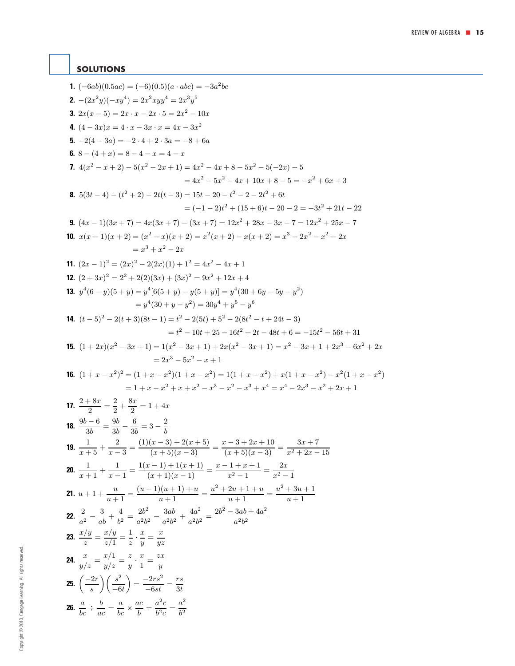## <span id="page-14-0"></span>**SOLUTIONS**

**1.**  $(-6ab)(0.5ac) = (-6)(0.5)(a \cdot abc) = -3a^2bc$ **2.**  $-(2x^2y)(-xy^4) = 2x^2xyy^4 = 2x^3y^5$ **3.**  $2x(x-5) = 2x \cdot x - 2x \cdot 5 = 2x^2 - 10x$ **4.**  $(4-3x)x = 4 \cdot x - 3x \cdot x = 4x - 3x^2$ **5.**  $-2(4-3a) = -2 \cdot 4 + 2 \cdot 3a = -8 + 6a$ **6.**  $8 - (4 + x) = 8 - 4 - x = 4 - x$ **7.**  $4(x^{2} - x + 2) - 5(x^{2} - 2x + 1) = 4x^{2} - 4x + 8 - 5x^{2} - 5(-2x) - 5$  $= 4x^2 - 5x^2 - 4x + 10x + 8 - 5 = -x^2 + 6x + 3$ **8.**  $5(3t-4)-(t^2+2)-2t(t-3)=15t-20-t^2-2-2t^2+6t$  $= (-1 - 2)t<sup>2</sup> + (15 + 6)t - 20 - 2 = -3t<sup>2</sup> + 21t - 22$ **9.**  $(4x-1)(3x+7) = 4x(3x+7) - (3x+7) = 12x^2 + 28x - 3x - 7 = 12x^2 + 25x - 7$ **10.**  $x(x-1)(x+2) = (x^2-x)(x+2) = x^2(x+2) - x(x+2) = x^3 + 2x^2 - x^2 - 2x$  $= x^3 + x^2 - 2x$ **11.**  $(2x-1)^2 = (2x)^2 - 2(2x)(1) + 1^2 = 4x^2 - 4x + 1$ **12.**  $(2+3x)^2 = 2^2 + 2(2)(3x) + (3x)^2 = 9x^2 + 12x + 4$ **13.**  $y^4(6-y)(5+y) = y^4[6(5+y) - y(5+y)] = y^4(30+6y-5y-y^2)$  $= y^4(30 + y - y^2) = 30y^4 + y^5 - y^6$ **14.**  $(t-5)^2 - 2(t+3)(8t-1) = t^2 - 2(5t) + 5^2 - 2(8t^2 - t + 24t - 3)$  $= t^2 - 10t + 25 - 16t^2 + 2t - 48t + 6 = -15t^2 - 56t + 31$ **15.**  $(1+2x)(x^2-3x+1)=1(x^2-3x+1)+2x(x^2-3x+1)=x^2-3x+1+2x^3-6x^2+2x$  $= 2x^3 - 5x^2 - x + 1$ **16.**  $(1+x-x^2)^2 = (1+x-x^2)(1+x-x^2) = 1(1+x-x^2) + x(1+x-x^2) - x^2(1+x-x^2)$  $=1+x-x^2+x+x^2-x^3-x^2-x^3+x^4=x^4-2x^3-x^2+2x+1$ **17.**  $\frac{2+8x}{2} = \frac{2}{2} + \frac{8x}{2} = 1 + 4x$ **18.**  $\frac{9b-6}{3b} = \frac{9b}{3b} - \frac{6}{3b} = 3 - \frac{2}{b}$ **19.**  $\frac{1}{x+5} + \frac{2}{x-3} = \frac{(1)(x-3) + 2(x+5)}{(x+5)(x-3)} = \frac{x-3+2x+10}{(x+5)(x-3)} = \frac{3x+7}{x^2+2x-15}$ **20.**  $\frac{1}{x+1} + \frac{1}{x-1} = \frac{1(x-1) + 1(x+1)}{(x+1)(x-1)} = \frac{x-1+x+1}{x^2-1} = \frac{2x}{x^2-1}$ **21.**  $u + 1 + \frac{u}{u+1} = \frac{(u+1)(u+1) + u}{u+1} = \frac{u^2 + 2u + 1 + u}{u+1} = \frac{u^2 + 3u + 1}{u+1}$ **22.**  $\frac{2}{a^2} - \frac{3}{ab} + \frac{4}{b^2} = \frac{2b^2}{a^2b^2} - \frac{3ab}{a^2b^2} + \frac{4a^2}{a^2b^2} = \frac{2b^2 - 3ab + 4a^2}{a^2b^2}$ **23.**  $\frac{x/y}{z} = \frac{x/y}{z/1} = \frac{1}{z} \cdot \frac{x}{y} = \frac{x}{yz}$ **24.**  $\frac{x}{y/z} = \frac{x/1}{y/z} = \frac{z}{y}$ .  $\frac{x}{1} = \frac{zx}{y}$ **26.**  $\frac{a}{bc} \div$  $\frac{b}{ac} = \frac{a}{bc} \times \frac{ac}{b} = \frac{a^2c}{b^2c} = \frac{a^2}{b^2}$ **25.**  $\left(\frac{-2r}{s}\right)$  $\bigwedge$   $s^2$  $-6t$  $= \frac{-2rs^2}{-6st} = \frac{rs}{3t}$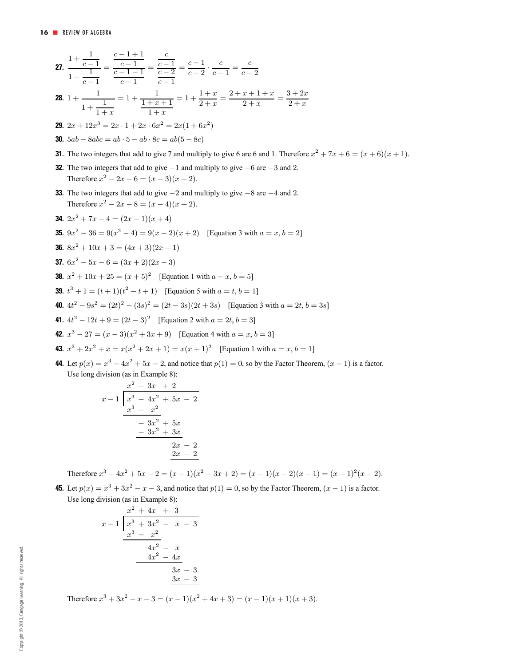27. 
$$
\frac{1+\frac{1}{c-1}}{1-\frac{1}{c-1}} = \frac{\frac{c-1}{c-1-1}}{c-1-1} = \frac{\frac{c}{c-1}}{c-2} = \frac{c-1}{c-2} \cdot \frac{c}{c-1} = \frac{c}{c-2}
$$
\n28. 
$$
1 + \frac{1}{1+\frac{1}{c}} = 1 + \frac{1}{\frac{1+x+1}{c}} = 1 + \frac{1+x}{2+x} = \frac{2+x+1+x}{2+x} = \frac{3+2x}{2+x}
$$
\n29. 
$$
2x + 12x^3 = 2x \cdot 1 + 2x \cdot 6x^2 = 2x(1+6x^2)
$$
\n30. 
$$
5ab - 8abc = ab \cdot 5 - ab \cdot 8c = ab(5 - 8c)
$$
\n31. The two integers that add to give 7 and multiply to give 6 are 6 and 1. Therefore  $x^2 + 7x + 6 = (x+6)(x+1)$ .\n\n32. The two integers that add to give -1 and multiply to give -6 are -3 and 2.\n\nTherefore  $x^2 - 2x - 6 = (x-3)(x+2)$ .\n\n33. The two integers that add to give  $-2$  and multiply to give  $-8$  are  $-4$  and 2.\n\nTherefore  $x^2 - 2x - 8 = (x-4)(x+2)$ .\n\n34. 
$$
2x^2 + 7x - 4 = (2x-1)(x+4)
$$
\n\n35. 
$$
9x^2 - 36 = 9(x^2 - 4) = 9(x-2)(x+2)
$$
 [Equation 3 with  $a = x, b = 2$ ]\n\n36. 
$$
8x^2 + 10x + 3 = (4x+3)(2x+1)
$$
\n\n37. 
$$
6x^2 - 5x - 6 = (3x+2)(2x-3)
$$
\n\n38. 
$$
x^2 + 10x + 25 = (x+5)^2
$$
 [Equation 1 with  $a - x, b = 5$ ]\n\n39. 
$$
t^3 + 1 = (t+1)(t^2 - t+1)
$$
 [Equation 5 with  $a = t, b = 1$ ]\n\n40. 
$$
4t^2 - 9s^2 = (2t)^2 - (
$$

**44.** Let  $p(x) = x^3 - 4x^2 + 5x - 2$ , and notice that  $p(1) = 0$ , so by the Factor Theorem,  $(x - 1)$  is a factor. Use long division (as in Example 8):

$$
\begin{array}{r} x^2 - 3x + 2 \\ x - 1 \overline{\smash)x^3 - 4x^2 + 5x - 2} \\ \underline{x^3 - x^2} \\ -3x^2 + 5x \\ \underline{-3x^2 + 3x} \\ 2x - 2 \\ \underline{2x - 2} \end{array}
$$

Therefore  $x^3 - 4x^2 + 5x - 2 = (x - 1)(x^2 - 3x + 2) = (x - 1)(x - 2)(x - 1) = (x - 1)^2(x - 2)$ .

**45.** Let  $p(x) = x^3 + 3x^2 - x - 3$ , and notice that  $p(1) = 0$ , so by the Factor Theorem,  $(x - 1)$  is a factor. Use long division (as in Example 8):

$$
\begin{array}{r} x^2 + 4x + 3 \\ x - 1 \overline{\smash)x^3 + 3x^2 - x - 3} \\ \underline{x^3 - x^2} \\ 4x^2 - x \\ \underline{4x^2 - 4x} \\ 3x - 3 \\ \underline{3x - 3} \\ 3x - 3 \\ \end{array}
$$

Therefore  $x^3 + 3x^2 - x - 3 = (x - 1)(x^2 + 4x + 3) = (x - 1)(x + 1)(x + 3)$ .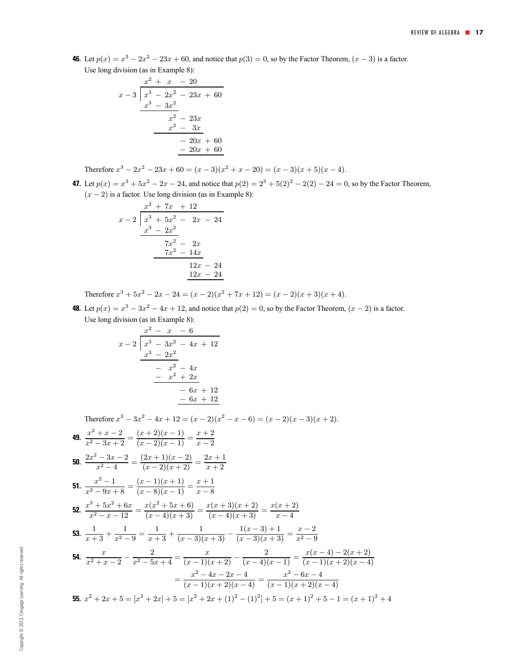**46.** Let  $p(x) = x^3 - 2x^2 - 23x + 60$ , and notice that  $p(3) = 0$ , so by the Factor Theorem,  $(x - 3)$  is a factor. Use long division (as in Example 8):

$$
\begin{array}{r} x^2 + x - 20 \\ x - 3 \overline{\smash)x^3 - 2x^2 - 23x + 60} \\ \underline{x^3 - 3x^2} \\ x^2 - 23x \\ \underline{x^2 - 3x} \\ -20x + 60 \\ \underline{-20x + 60} \end{array}
$$

Therefore  $x^3 - 2x^2 - 23x + 60 = (x - 3)(x^2 + x - 20) = (x - 3)(x + 5)(x - 4)$ .

**47.** Let  $p(x) = x^3 + 5x^2 - 2x - 24$ , and notice that  $p(2) = 2^3 + 5(2)^2 - 2(2) - 24 = 0$ , so by the Factor Theorem,  $(x - 2)$  is a factor. Use long division (as in Example 8):

$$
\begin{array}{r} x^2 + 7x + 12 \\ x - 2 \overline{\smash{\big)}\ x^3 + 5x^2 - 2x - 24} \\ \underline{x^3 - 2x^2} \\ 7x^2 - 2x \\ \underline{7x^2 - 14x} \\ 12x - 24 \\ \underline{12x - 24} \end{array}
$$

Therefore  $x^3 + 5x^2 - 2x - 24 = (x - 2)(x^2 + 7x + 12) = (x - 2)(x + 3)(x + 4)$ .

**48.** Let  $p(x) = x^3 - 3x^2 - 4x + 12$ , and notice that  $p(2) = 0$ , so by the Factor Theorem,  $(x - 2)$  is a factor. Use long division (as in Example 8):

$$
\begin{array}{r} x^2 - x - 6 \\ x - 2 \overline{\smash{\big)}\ x^3 - 3x^2 - 4x + 12} \\ \underline{x^3 - 2x^2} \\ -x^2 - 4x \\ \underline{-x^2 + 2x} \\ -6x + 12 \\ \underline{-6x + 12} \end{array}
$$

Therefore  $x^3 - 3x^2 - 4x + 12 = (x - 2)(x^2 - x - 6) = (x - 2)(x - 3)(x + 2)$ .

49. 
$$
\frac{x^2 + x - 2}{x^2 - 3x + 2} = \frac{(x+2)(x-1)}{(x-2)(x-1)} = \frac{x+2}{x-2}
$$
  
\n50. 
$$
\frac{2x^2 - 3x - 2}{x^2 - 4} = \frac{(2x+1)(x-2)}{(x-2)(x+2)} = \frac{2x+1}{x+2}
$$
  
\n51. 
$$
\frac{x^2 - 1}{x^2 - 9x + 8} = \frac{(x-1)(x+1)}{(x-8)(x-1)} = \frac{x+1}{x-8}
$$
  
\n52. 
$$
\frac{x^3 + 5x^2 + 6x}{x^2 - x - 12} = \frac{x(x^2 + 5x + 6)}{(x-4)(x+3)} = \frac{x(x+3)(x+2)}{(x-4)(x+3)} = \frac{x(x+2)}{x-4}
$$
  
\n53. 
$$
\frac{1}{x+3} + \frac{1}{x^2 - 9} = \frac{1}{x+3} + \frac{1}{(x-3)(x+3)} - \frac{1(x-3)+1}{(x-3)(x+3)} = \frac{x-2}{x^2 - 9}
$$
  
\n54. 
$$
\frac{x}{x^2 + x - 2} - \frac{2}{x^2 - 5x + 4} = \frac{x}{(x-1)(x+2)} - \frac{2}{(x-4)(x-1)} = \frac{x(x-4) - 2(x+2)}{(x-1)(x+2)(x-4)} = \frac{x^2 - 4x - 2x - 4}{(x-1)(x+2)(x-4)} = \frac{x^2 - 6x - 4}{(x-1)(x+2)(x-4)}
$$
  
\n55. 
$$
x^2 + 2x + 5 = [x^2 + 2x] + 5 = [x^2 + 2x + (1)^2 - (1)^2] + 5 = (x+1)^2 + 5 - 1 = (x+1)^2 + 4
$$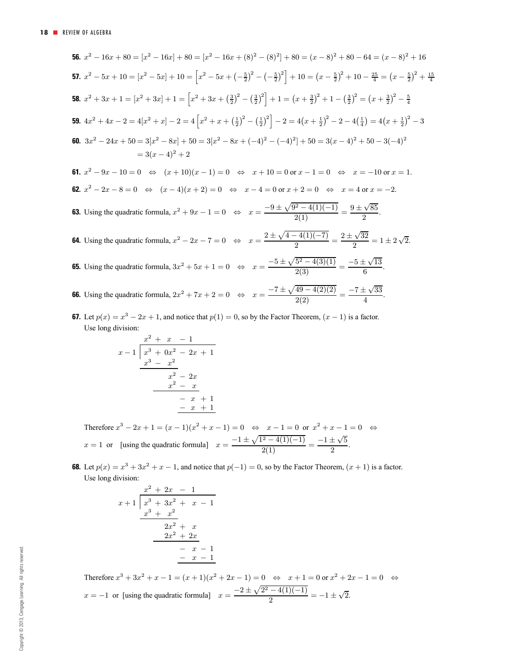**56.** 
$$
x^2 - 16x + 80 = [x^2 - 16x] + 80 = [x^2 - 16x + (8)^2 - (8)^2] + 80 = (x - 8)^2 + 80 - 64 = (x - 8)^2 + 16
$$
  
\n**57.**  $x^2 - 5x + 10 = [x^2 - 5x] + 10 = \left[x^2 - 5x + (-\frac{5}{2})^2 - (-\frac{5}{2})^2\right] + 10 = (x - \frac{5}{2})^2 + 10 - \frac{25}{4} = (x - \frac{5}{2})^2 + \frac{15}{4}$   
\n**58.**  $x^2 + 3x + 1 = [x^2 + 3x] + 1 = \left[x^2 + 3x + (\frac{3}{2})^2 - (\frac{3}{2})^2\right] + 1 = (x + \frac{3}{2})^2 + 1 - (\frac{3}{2})^2 = (x + \frac{3}{2})^2 - \frac{5}{4}$   
\n**59.**  $4x^2 + 4x - 2 = 4[x^2 + x] - 2 = 4\left[x^2 + x + (\frac{1}{2})^2 - (\frac{1}{2})^2\right] - 2 = 4(x + \frac{1}{2})^2 - 2 - 4(\frac{1}{4}) = 4(x + \frac{1}{2})^2 - 3$   
\n**60.**  $3x^2 - 24x + 50 = 3[x^2 - 8x] + 50 = 3[x^2 - 8x + (-4)^2 - (-4)^2] + 50 = 3(x - 4)^2 + 50 - 3(-4)^2$   
\n $= 3(x - 4)^2 + 2$   
\n**61.**  $x^2 - 9x - 10 = 0 \Leftrightarrow (x + 10)(x - 1) = 0 \Leftrightarrow x + 10 = 0 \text{ or } x - 1 = 0 \Leftrightarrow x = -10 \text{ or } x = 1.$   
\n**62.**  $x^2 - 2x - 8 = 0 \Leftrightarrow (x - 4)(x + 2) = 0 \Leftrightarrow x - 4 = 0 \text{ or } x + 2 = 0 \Leftrightarrow x = 4 \text{ or } x = -2.$   
\n**63.** Using the quadratic formula, 

**67.** Let  $p(x) = x^3 - 2x + 1$ , and notice that  $p(1) = 0$ , so by the Factor Theorem,  $(x - 1)$  is a factor. Use long division:

$$
\begin{array}{r} x^2 + x - 1 \\ x - 1 \overline{\smash)x^3 + 0x^2 - 2x + 1} \\ \underline{x^3 - x^2} \\ x^2 - 2x \\ \underline{x^2 - x} \\ -x + 1 \\ \underline{-x + 1} \\ -x + 1 \end{array}
$$

Therefore  $x^3 - 2x + 1 = (x - 1)(x^2 + x - 1) = 0 \Leftrightarrow x - 1 = 0$  or  $x^2 + x - 1 = 0 \Leftrightarrow$  $x = 1$  or [using the quadratic formula]  $x = \frac{-1 \pm \sqrt{1^2 - 4(1)(-1)}}{2(1)} = \frac{-1 \pm \sqrt{5}}{2}$ .

**68.** Let  $p(x) = x^3 + 3x^2 + x - 1$ , and notice that  $p(-1) = 0$ , so by the Factor Theorem,  $(x + 1)$  is a factor. Use long division:

$$
\begin{array}{r} x^2 + 2x - 1 \\ x + 1 \overline{\smash)x^3 + 3x^2 + x - 1} \\ \underline{x^3 + x^2} \\ 2x^2 + x \\ \underline{2x^2 + 2x} \\ -x - 1 \\ \underline{-x - 1} \\ -x - 1 \end{array}
$$

Therefore  $x^3 + 3x^2 + x - 1 = (x + 1)(x^2 + 2x - 1) = 0 \Leftrightarrow x + 1 = 0$  or  $x^2 + 2x - 1 = 0 \Leftrightarrow$  $x = -1$  or [using the quadratic formula]  $x = \frac{-2 \pm \sqrt{2^2 - 4(1)(-1)}}{2} = -1 \pm \sqrt{2}$ .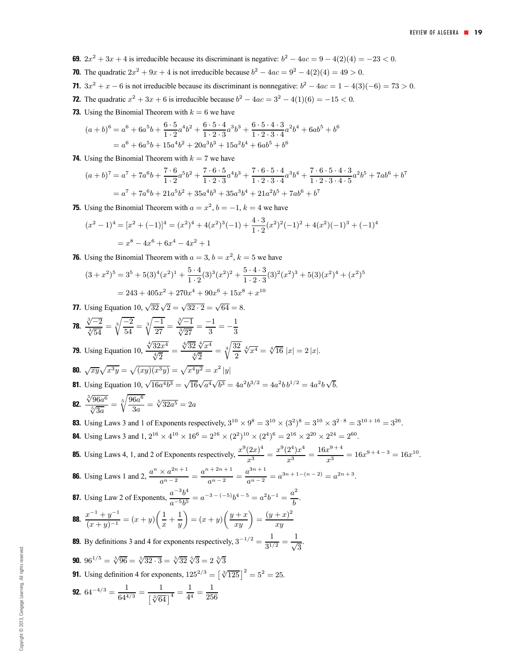$= 3^{26}$ .

- **69.**  $2x^2 + 3x + 4$  is irreducible because its discriminant is negative:  $b^2 4ac = 9 4(2)(4) = -23 < 0$ .
- **70.** The quadratic  $2x^2 + 9x + 4$  is not irreducible because  $b^2 4ac = 9^2 4(2)(4) = 49 > 0$ .
- **71.**  $3x^2 + x 6$  is not irreducible because its discriminant is nonnegative:  $b^2 4ac = 1 4(3)(-6) = 73 > 0$ .
- **72.** The quadratic  $x^2 + 3x + 6$  is irreducible because  $b^2 4ac = 3^2 4(1)(6) = -15 < 0$ .
- **73.** Using the Binomial Theorem with  $k = 6$  we have

$$
(a + b)^6 = a^6 + 6a^5b + \frac{6 \cdot 5}{1 \cdot 2}a^4b^2 + \frac{6 \cdot 5 \cdot 4}{1 \cdot 2 \cdot 3}a^3b^3 + \frac{6 \cdot 5 \cdot 4 \cdot 3}{1 \cdot 2 \cdot 3 \cdot 4}a^2b^4 + 6ab^5 + b^6
$$
  
=  $a^6 + 6a^5b + 15a^4b^2 + 20a^3b^3 + 15a^2b^4 + 6ab^5 + b^6$ 

**74.** Using the Binomial Theorem with  $k = 7$  we have

$$
(a+b)^7 = a^7 + 7a^6b + \frac{7 \cdot 6}{1 \cdot 2}a^5b^2 + \frac{7 \cdot 6 \cdot 5}{1 \cdot 2 \cdot 3}a^4b^3 + \frac{7 \cdot 6 \cdot 5 \cdot 4}{1 \cdot 2 \cdot 3 \cdot 4}a^3b^4 + \frac{7 \cdot 6 \cdot 5 \cdot 4 \cdot 3}{1 \cdot 2 \cdot 3 \cdot 4 \cdot 5}a^2b^5 + 7ab^6 + b^7
$$
  
=  $a^7 + 7a^6b + 21a^5b^2 + 35a^4b^3 + 35a^3b^4 + 21a^2b^5 + 7ab^6 + b^7$ 

**75.** Using the Binomial Theorem with  $a = x^2$ ,  $b = -1$ ,  $k = 4$  we have

$$
(x^{2} - 1)^{4} = [x^{2} + (-1)]^{4} = (x^{2})^{4} + 4(x^{2})^{3}(-1) + \frac{4 \cdot 3}{1 \cdot 2}(x^{2})^{2}(-1)^{2} + 4(x^{2})(-1)^{3} + (-1)^{4}
$$

$$
= x^{8} - 4x^{6} + 6x^{4} - 4x^{2} + 1
$$

**76.** Using the Binomial Theorem with  $a = 3$ ,  $b = x^2$ ,  $k = 5$  we have

$$
(3+x^2)^5 = 3^5 + 5(3)^4(x^2)^1 + \frac{5 \cdot 4}{1 \cdot 2}(3)^3(x^2)^2 + \frac{5 \cdot 4 \cdot 3}{1 \cdot 2 \cdot 3}(3)^2(x^2)^3 + 5(3)(x^2)^4 + (x^2)^5
$$
  
= 243 + 405x^2 + 270x^4 + 90x^6 + 15x^8 + x^{10}

**77.** Using Equation 10,  $\sqrt{32}\sqrt{2} = \sqrt{32 \cdot 2} = \sqrt{64} = 8$ .

78. 
$$
\frac{\sqrt[3]{-2}}{\sqrt[3]{54}} = \sqrt[3]{\frac{-2}{54}} = \sqrt[3]{\frac{-1}{27}} = \frac{\sqrt[3]{-1}}{\sqrt[3]{27}} = \frac{-1}{3} = -\frac{1}{3}
$$
  
\n79. Using Equation 10,  $\frac{\sqrt[4]{32x^4}}{\sqrt[4]{2}} = \frac{\sqrt[4]{32}}{\sqrt[4]{2}} = \sqrt[4]{\frac{32}{2}} \sqrt[4]{x^4} = \sqrt[4]{16} |x| = 2 |x|$ .  
\n80.  $\sqrt{xy} \sqrt{x^3y} = \sqrt{(xy)(x^3y)} = \sqrt{x^4y^2} = x^2 |y|$   
\n81. Using Equation 10,  $\sqrt{16a^4b^3} = \sqrt{16}\sqrt{a^4}\sqrt{b^3} = 4a^2b^{3/2} = 4a^2b b^{1/2} = 4a^2b \sqrt{b}$ .  
\n82.  $\frac{\sqrt[5]{96a^6}}{\sqrt[5]{3a}} = \sqrt[5]{\frac{96a^6}{3a}} = \sqrt[5]{32a^5} = 2a$   
\n83. Using Laws 3 and 1 of Exponents respectively,  $3^{10} \times 9^8 = 3^{10} \times (3^2)^8 = 3^{10} \times 3^{2 \cdot 8} = 3^{10+16} = 3^{26}$ .  
\n84. Using Laws 3 and 1,  $2^{16} \times 4^{10} \times 16^6 = 2^{16} \times (2^2)^{10} \times (2^4)^6 = 2^{16} \times 2^{20} \times 2^{24} = 2^{60}$ .  
\n85. Using Laws 4, 1, and 2 of Exponents respectively,  $\frac{x^9(2x)^4}{x^9} = \frac{x^9(2^4)x^4}{x^3} = \frac{16x^{9+4}}{x^3} = 16x^{9+4-3} = 16x^{10}$ .  
\n86. Using Laws 1 and 2,  $\frac{a^n \times a^{2n+1}}{a^n-2} = \frac{a^{n+2n+1}}{a^n-2} = \frac{a^{3n+1}}{a^{n-2}} = a^{3n+1-(n-2)} = a^{2n+3}$ .  
\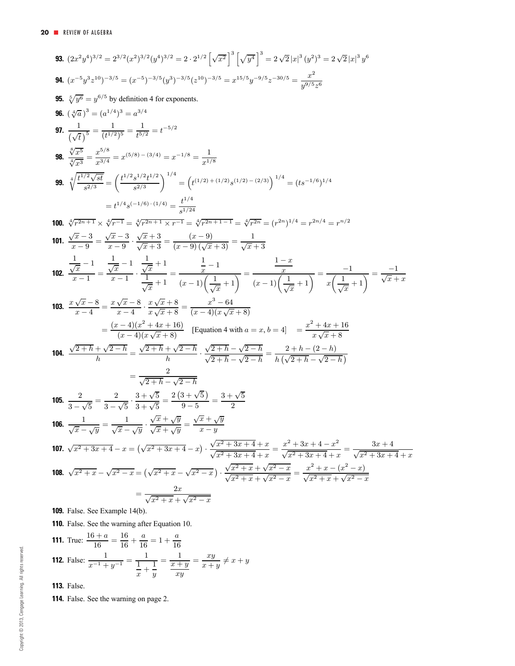93. 
$$
(2x^2y^4)^{3/2} = 2^{3/2}(x^2)^{3/2}(y^4)^{3/2} = 2 \cdot 2^{1/2} \left[\sqrt{x^2}\right]^3 \left[\sqrt{y^4}\right]^3 = 2 \sqrt{2}|x|^3(y^3)^3 = 2 \sqrt{2}|x|^3(y^3)^3 = 2 \sqrt{2}|x|^3(y^3)^3 = 2 \sqrt{2}|x|^3(y^3)^3 = 2 \sqrt{2}|x|^3(y^3)^3 = 2 \sqrt{2}|x|^3(y^3)^3 = 2 \sqrt{2}|x|^3(y^3)^3 = 2 \sqrt{2}|x|^3(y^3)^3 = 2 \sqrt{2}|x|^3(y^3)^3 = 2 \sqrt{2}|x|^3(y^3)^3 = 2 \sqrt{2}|x|^3(y^3)^3 = 2 \sqrt{2}|x|^3(y^3)^3 = 2 \sqrt{2}|x|^3(y^3)^3 = 2 \sqrt{2}|x|^3(y^3)^3 = 2 \sqrt{2}|x|^3 = 2 \sqrt{2}|x|^3 = 2 \sqrt{2}|x|^3 = 2 \sqrt{2}|x|^3 = 2 \sqrt{2}|x|^3 = 2 \sqrt{2}|x|^3 = 2 \sqrt{2}|x|^3 = 2 \sqrt{2}|x|^3 = 2 \sqrt{2}|x|^3 = 2 \sqrt{2}|x|^3 = 2 \sqrt{2}|x|^3 = 2 \sqrt{2}|x|^3 = 2 \sqrt{2}|x|^3 = 2 \sqrt{2}|x|^3 = 2 \sqrt{2}|x|^3 = 2 \sqrt{2}|x|^3 = 2 \sqrt{2}|x|^3 = 2 \sqrt{2}|x|^3 = 2 \sqrt{2}|x|^3 = 2 \sqrt{2}|x|^3 = 2 \sqrt{2}|x|^3 = 2 \sqrt{2}|x|^3 = 2 \sqrt{2}|x|^3 = 2 \sqrt{2}|x|^3 = 2 \sqrt{2}|x|^3 = 2 \sqrt{2}|x|^3 = 2 \sqrt{2}|x|^3 = 2 \sqrt{2}|x|^3 = 2 \sqrt{2}|x|^3 = 2 \sqrt{2}|x|^3 = 2 \sqrt{2}|x|^3 = 2 \sqrt{2}|x|^3 = 2 \sqrt{2}|x|^3 = 2 \sqrt{2}|x|^3 = 2 \sqrt{2}|x|^3 = 2 \sqrt{2}|x|^3 = 2 \sqrt{2}|x|^3 = 2 \sqrt{2}|x|^3 = 2 \sqrt{2}|x|^3 = 2 \sqrt{2}|x|^3 = 2 \sqrt{2}|x|^3 = 2 \sqrt{2}|x|^
$$

**110.** False. See the warning after Equation 10.

**111.** True: 
$$
\frac{16+a}{16} = \frac{16}{16} + \frac{a}{16} = 1 + \frac{a}{16}
$$
  
**112.** False:  $\frac{1}{x^{-1} + y^{-1}} = \frac{1}{\frac{1}{x} + \frac{1}{y}} = \frac{1}{\frac{x+y}{xy}} = \frac{xy}{x+y} \neq x + y$ 

**113.** False.

**114.** False. See the warning on page 2.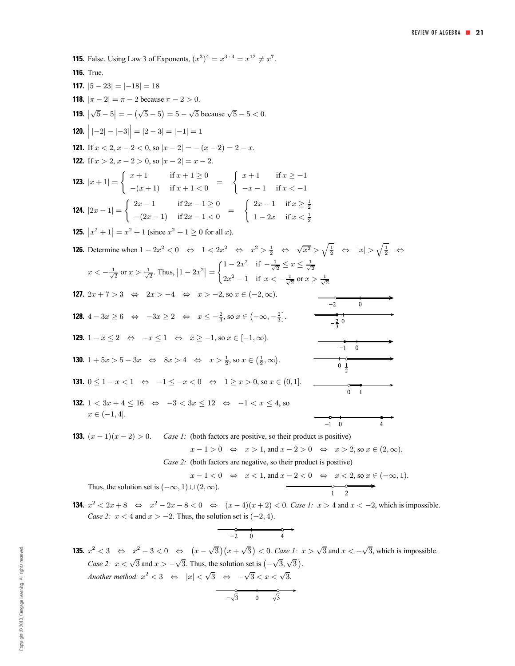**115.** False. Using Law 3 of Exponents,  $(x^3)^4 = x^{3 \cdot 4} = x^{12} \neq x^7$ . **116.** True. **117.**  $|5 - 23| = |-18| = 18$ **118.**  $|\pi - 2| = \pi - 2$  because  $\pi - 2 > 0$ . **119.**  $|\sqrt{5} - 5| = -(\sqrt{5} - 5) = 5 - \sqrt{5}$  because  $\sqrt{5} - 5 < 0$ . **120.**  $\Big| |-2| - |-3| \Big| = |2 - 3| = |-1| = 1$ **121.** If  $x < 2$ ,  $x - 2 < 0$ , so  $|x - 2| = -(x - 2) = 2 - x$ . **122.** If  $x > 2$ ,  $x - 2 > 0$ , so  $|x - 2| = x - 2$ . **123.**  $|x+1| = \begin{cases} x+1 & \text{if } x+1 \geq 0 \\ -(x+1) & \text{if } x+1 \geq 0 \end{cases}$  $\int x + 1$  if  $x \ge -1$  $-(x+1)$  if  $x+1<0$  =  $-x-1$  if  $x < -1$ **124.**  $|2x - 1| = \begin{cases} 2x - 1 & \text{if } 2x - 1 \ge 0 \\ (2x - 1) & \text{if } 2x - 1 \ge 0 \end{cases}$  $\int 2x - 1$  if  $x \ge \frac{1}{2}$  $-(2x-1)$  if  $2x-1<0$  =  $1 - 2x$  if  $x < \frac{1}{2}$ **125.**  $|x^2 + 1| = x^2 + 1$  (since  $x^2 + 1 \ge 0$  for all x). **126.** Determine when  $1 - 2x^2 < 0 \Leftrightarrow 1 < 2x^2 \Leftrightarrow x^2 > \frac{1}{2} \Leftrightarrow \sqrt{x^2} > \sqrt{\frac{1}{2}} \Leftrightarrow |x| > \sqrt{\frac{1}{2}} \Leftrightarrow$  $\int 1 - 2x^2$  if  $-\frac{1}{\sqrt{2}} \leq x \leq \frac{1}{\sqrt{2}}$  $x < -\frac{1}{\sqrt{2}}$  or  $x > \frac{1}{\sqrt{2}}$ . Thus,  $|1 - 2x^2|$  =  $2x^2 - 1$  if  $x < -\frac{1}{\sqrt{2}}$  or  $x > \frac{1}{\sqrt{2}}$ **127.**  $2x + 7 > 3 \Leftrightarrow 2x > -4 \Leftrightarrow x > -2$ , so  $x \in (-2, \infty)$ .  $\ddot{0}$ **128.**  $4 - 3x \ge 6 \Leftrightarrow -3x \ge 2 \Leftrightarrow x \le -\frac{2}{3}$ , so  $x \in (-\infty, -\frac{2}{3}]$ . **129.**  $1 - x \le 2 \iff -x \le 1 \iff x \ge -1$ , so  $x \in [-1, \infty)$ .  $\overline{0}$  $-1$ **130.**  $1 + 5x > 5 - 3x \Leftrightarrow 8x > 4 \Leftrightarrow x > \frac{1}{2}$ , so  $x \in (\frac{1}{2}, \infty)$ .  $0 \frac{1}{2}$ **131.**  $0 \leq 1 - x \leq 1 \Leftrightarrow -1 \leq -x \leq 0 \Leftrightarrow 1 \geq x \geq 0$ , so  $x \in (0, 1]$ .  $\overline{0}$  $\overline{1}$ **132.**  $1 < 3x + 4 \le 16 \Leftrightarrow -3 < 3x \le 12 \Leftrightarrow -1 < x \le 4$ , so  $x \in (-1, 4]$ .  $-1$  $\overline{0}$  $\overline{A}$ 

**133.**  $(x - 1)(x - 2) > 0$ . *Case 1:* (both factors are positive, so their product is positive)

$$
x - 1 > 0 \Leftrightarrow x > 1, \text{ and } x - 2 > 0 \Leftrightarrow x > 2, \text{ so } x \in (2, \infty).
$$

*Case 2:* (both factors are negative, so their product is positive)

$$
x - 1 < 0 \quad \Leftrightarrow \quad x < 1 \text{, and } x - 2 < 0 \quad \Leftrightarrow \quad x < 2 \text{, so } x \in (-\infty, 1).
$$
\nThus, the solution set is  $(-\infty, 1) \cup (2, \infty)$ .

**134.**  $x^2 < 2x + 8 \Leftrightarrow x^2 - 2x - 8 < 0 \Leftrightarrow (x - 4)(x + 2) < 0$ . *Case 1:*  $x > 4$  and  $x < -2$ , which is impossible. *Case 2:*  $x < 4$  and  $x > -2$ . Thus, the solution set is  $(-2, 4)$ .

$$
\begin{array}{c}\n\bullet \\
-2 \quad 0 \\
\end{array}\n\qquad \qquad\n\begin{array}{c}\n\bullet \\
4\n\end{array}
$$

**135.**  $x^2 < 3$  ⇔  $x^2 - 3 < 0$  ⇔  $(x - \sqrt{3})(x + \sqrt{3}) < 0$ . *Case 1:*  $x > \sqrt{3}$  and  $x < -\sqrt{3}$ , which is impossible. *Case 2:*  $x < \sqrt{3}$  and  $x > -\sqrt{3}$ . Thus, the solution set is  $(-\sqrt{3}, \sqrt{3})$ . *Another method:*  $x^2 < 3 \Leftrightarrow |x| < \sqrt{3} \Leftrightarrow -\sqrt{3} < x < \sqrt{3}$ .

$$
-\sqrt{3} \qquad 0 \qquad \sqrt{3}
$$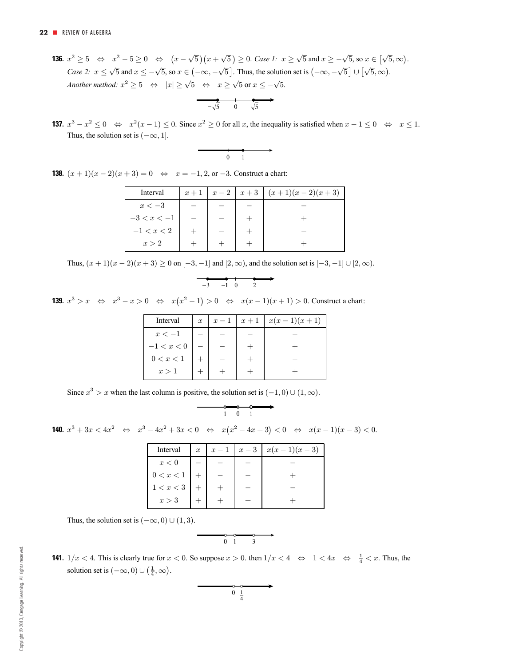**136.**  $x^2 \ge 5 \Leftrightarrow x^2 - 5 \ge 0 \Leftrightarrow (x - \sqrt{5})(x + \sqrt{5}) \ge 0$ . *Case 1:*  $x \ge \sqrt{5}$  and  $x \ge -\sqrt{5}$ , so  $x \in [\sqrt{5}, \infty)$ . *Case 2:*  $x \le \sqrt{5}$  and  $x \le -\sqrt{5}$ , so  $x \in (-\infty, -\sqrt{5}]$ . Thus, the solution set is  $(-\infty, -\sqrt{5}] \cup [\sqrt{5}, \infty)$ . *Another method:*  $x^2 \ge 5 \Leftrightarrow |x| \ge \sqrt{5} \Leftrightarrow x \ge \sqrt{5}$  or  $x \le -\sqrt{5}$ .

$$
\overrightarrow{-\sqrt{5}} \quad 0 \quad \sqrt{5}
$$

**137.**  $x^3 - x^2 \le 0 \Leftrightarrow x^2(x-1) \le 0$ . Since  $x^2 \ge 0$  for all x, the inequality is satisfied when  $x - 1 \le 0 \Leftrightarrow x \le 1$ . Thus, the solution set is  $(-\infty, 1]$ .

$$
\begin{array}{c}\n \cdot \\
 \hline\n 0 \quad 1\n \end{array}
$$

**138.**  $(x + 1)(x - 2)(x + 3) = 0 \Leftrightarrow x = -1, 2,$  or  $-3$ . Construct a chart:

| Interval      | $x+1$ | $\left  x-2\right $ | $x+3$ | $(x+1)(x-2)(x+3)$ |
|---------------|-------|---------------------|-------|-------------------|
| $x < -3$      |       |                     |       |                   |
| $-3 < x < -1$ |       |                     |       |                   |
| $-1 < x < 2$  |       |                     |       |                   |
| x > 2         |       |                     |       |                   |

Thus,  $(x + 1)(x - 2)(x + 3) \ge 0$  on  $[-3, -1]$  and  $[2, \infty)$ , and the solution set is  $[-3, -1] \cup [2, \infty)$ .

$$
\begin{array}{c}\n\bullet \\
-3 \\
\end{array}\n\quad\n\begin{array}{c}\n\bullet \\
\hline\n\end{array}\n\quad\n\begin{array}{c}\n\bullet \\
\bullet \\
\end{array}\n\quad\n\begin{array}{c}\n\bullet \\
\bullet \\
\end{array}\n\end{array}
$$

**139.**  $x^3 > x \Leftrightarrow x^3 - x > 0 \Leftrightarrow x(x^2 - 1) > 0 \Leftrightarrow x(x - 1)(x + 1) > 0$ . Construct a chart:

| Interval     | $\boldsymbol{x}$ | $x-1$ | $x+1$ | $x(x-1)(x+1)$ |
|--------------|------------------|-------|-------|---------------|
| $x<-1$       |                  |       |       |               |
| $-1 < x < 0$ |                  |       |       |               |
| 0 < x < 1    |                  |       |       |               |
| x > 1        |                  |       |       |               |

Since  $x^3 > x$  when the last column is positive, the solution set is  $(-1, 0) \cup (1, \infty)$ .

$$
\overbrace{\qquad \qquad -1 \quad 0 \quad 1}
$$

**140.**  $x^3 + 3x < 4x^2$  ⇔  $x^3 - 4x^2 + 3x < 0$  ⇔  $x(x^2 - 4x + 3) < 0$  ⇔  $x(x - 1)(x - 3) < 0$ .

| Interval  | $\boldsymbol{x}$ | $x-1$ | $x-3$ | $x(x-1)(x-3)$ |
|-----------|------------------|-------|-------|---------------|
| x<0       |                  |       |       |               |
| 0 < x < 1 |                  |       |       |               |
| 1 < x < 3 |                  |       |       |               |
| x > 3     |                  |       |       |               |

Thus, the solution set is  $(-\infty, 0) \cup (1, 3)$ .

$$
\begin{array}{c}\n\circ \\
\circ \\
0 & 1\n\end{array}
$$

**141.**  $1/x < 4$ . This is clearly true for  $x < 0$ . So suppose  $x > 0$ . then  $1/x < 4 \Leftrightarrow 1 < 4x \Leftrightarrow \frac{1}{4} < x$ . Thus, the solution set is  $(-\infty, 0) \cup (\frac{1}{4}, \infty)$ .

$$
\begin{array}{c}\n0 \\
0 \\
\frac{1}{4}\n\end{array}
$$